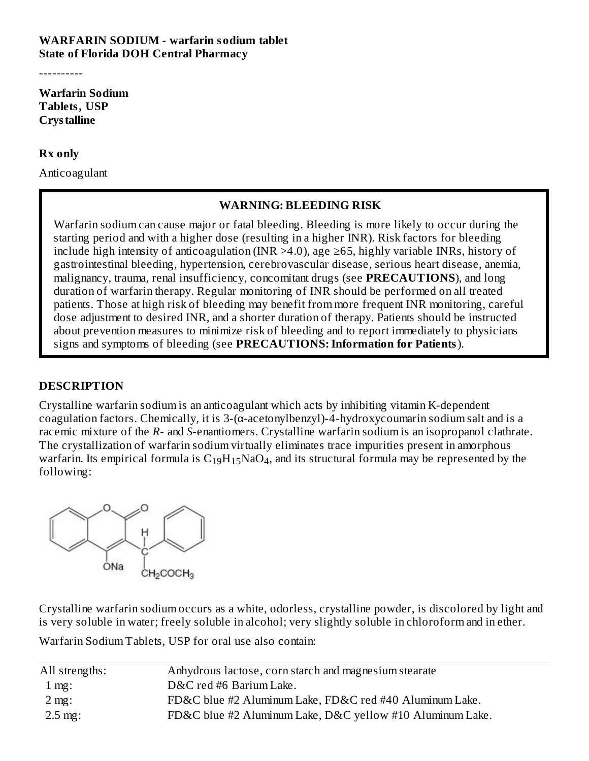#### **WARFARIN SODIUM - warfarin sodium tablet State of Florida DOH Central Pharmacy**

----------

**Warfarin Sodium Tablets, USP Crystalline**

#### **Rx only**

Anticoagulant

#### **WARNING: BLEEDING RISK**

Warfarin sodium can cause major or fatal bleeding. Bleeding is more likely to occur during the starting period and with a higher dose (resulting in a higher INR). Risk factors for bleeding include high intensity of anticoagulation (INR >4.0), age  $\geq$ 65, highly variable INRs, history of gastrointestinal bleeding, hypertension, cerebrovascular disease, serious heart disease, anemia, malignancy, trauma, renal insufficiency, concomitant drugs (see **PRECAUTIONS**), and long duration of warfarin therapy. Regular monitoring of INR should be performed on all treated patients. Those at high risk of bleeding may benefit from more frequent INR monitoring, careful dose adjustment to desired INR, and a shorter duration of therapy. Patients should be instructed about prevention measures to minimize risk of bleeding and to report immediately to physicians signs and symptoms of bleeding (see **PRECAUTIONS:Information for Patients**).

#### **DESCRIPTION**

Crystalline warfarin sodium is an anticoagulant which acts by inhibiting vitamin K-dependent coagulation factors. Chemically, it is  $3-(\alpha$ -acetonylbenzyl)-4-hydroxycoumarin sodium salt and is a racemic mixture of the *R*- and *S*-enantiomers. Crystalline warfarin sodium is an isopropanol clathrate. The crystallization of warfarin sodium virtually eliminates trace impurities present in amorphous warfarin. Its empirical formula is  $\rm{C_{19}H_{15}NaO_4}$ , and its structural formula may be represented by the following:



Crystalline warfarin sodium occurs as a white, odorless, crystalline powder, is discolored by light and is very soluble in water; freely soluble in alcohol; very slightly soluble in chloroform and in ether.

Warfarin Sodium Tablets, USP for oral use also contain:

| All strengths:     | Anhydrous lactose, corn starch and magnesium stearate     |
|--------------------|-----------------------------------------------------------|
| 1 mg:              | D&C red #6 Barium Lake.                                   |
| 2 mg:              | FD&C blue #2 Aluminum Lake, FD&C red #40 Aluminum Lake.   |
| $2.5 \text{ mg}$ : | FD&C blue #2 Aluminum Lake, D&C yellow #10 Aluminum Lake. |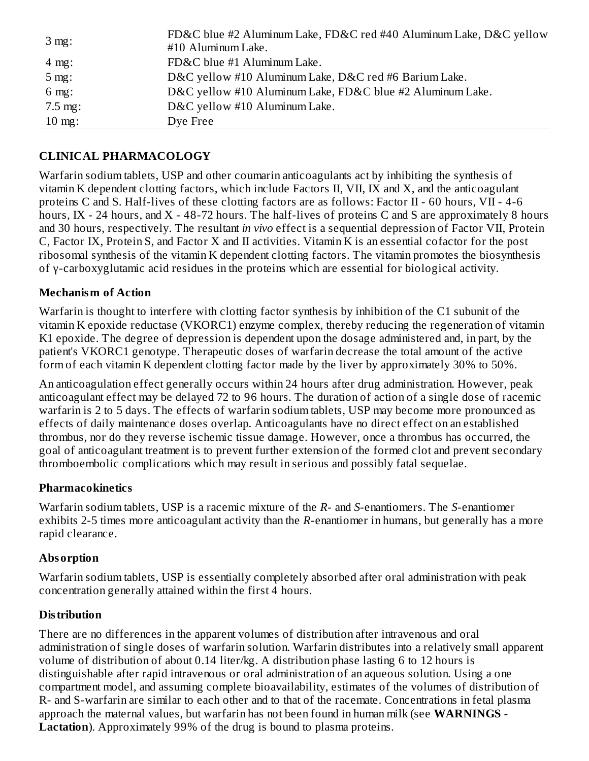| 3 mg:              | FD&C blue #2 Aluminum Lake, FD&C red #40 Aluminum Lake, D&C yellow |
|--------------------|--------------------------------------------------------------------|
|                    | #10 Aluminum Lake.                                                 |
| 4 mg:              | FD&C blue #1 Aluminum Lake.                                        |
| $5 \text{ mg}$ :   | D&C yellow #10 Aluminum Lake, D&C red #6 Barium Lake.              |
| $6 \text{ mg}$ :   | D&C yellow #10 Aluminum Lake, FD&C blue #2 Aluminum Lake.          |
| $7.5 \text{ mg}$ : | D&C yellow #10 Aluminum Lake.                                      |
| $10 \text{ mg}$ :  | Dye Free                                                           |

## **CLINICAL PHARMACOLOGY**

Warfarin sodium tablets, USP and other coumarin anticoagulants act by inhibiting the synthesis of vitamin K dependent clotting factors, which include Factors II, VII, IX and X, and the anticoagulant proteins C and S. Half-lives of these clotting factors are as follows: Factor II - 60 hours, VII - 4-6 hours, IX - 24 hours, and X - 48-72 hours. The half-lives of proteins C and S are approximately 8 hours and 30 hours, respectively. The resultant *in vivo* effect is a sequential depression of Factor VII, Protein C, Factor IX, Protein S, and Factor X and II activities. Vitamin K is an essential cofactor for the post ribosomal synthesis of the vitamin K dependent clotting factors. The vitamin promotes the biosynthesis of γ-carboxyglutamic acid residues in the proteins which are essential for biological activity.

#### **Mechanism of Action**

Warfarin is thought to interfere with clotting factor synthesis by inhibition of the C1 subunit of the vitamin K epoxide reductase (VKORC1) enzyme complex, thereby reducing the regeneration of vitamin K1 epoxide. The degree of depression is dependent upon the dosage administered and, in part, by the patient's VKORC1 genotype. Therapeutic doses of warfarin decrease the total amount of the active form of each vitamin K dependent clotting factor made by the liver by approximately 30% to 50%.

An anticoagulation effect generally occurs within 24 hours after drug administration. However, peak anticoagulant effect may be delayed 72 to 96 hours. The duration of action of a single dose of racemic warfarin is 2 to 5 days. The effects of warfarin sodium tablets, USP may become more pronounced as effects of daily maintenance doses overlap. Anticoagulants have no direct effect on an established thrombus, nor do they reverse ischemic tissue damage. However, once a thrombus has occurred, the goal of anticoagulant treatment is to prevent further extension of the formed clot and prevent secondary thromboembolic complications which may result in serious and possibly fatal sequelae.

#### **Pharmacokinetics**

Warfarin sodium tablets, USP is a racemic mixture of the *R*- and *S*-enantiomers. The *S*-enantiomer exhibits 2-5 times more anticoagulant activity than the *R*-enantiomer in humans, but generally has a more rapid clearance.

#### **Absorption**

Warfarin sodium tablets, USP is essentially completely absorbed after oral administration with peak concentration generally attained within the first 4 hours.

#### **Distribution**

There are no differences in the apparent volumes of distribution after intravenous and oral administration of single doses of warfarin solution. Warfarin distributes into a relatively small apparent volume of distribution of about 0.14 liter/kg. A distribution phase lasting 6 to 12 hours is distinguishable after rapid intravenous or oral administration of an aqueous solution. Using a one compartment model, and assuming complete bioavailability, estimates of the volumes of distribution of R- and S-warfarin are similar to each other and to that of the racemate. Concentrations in fetal plasma approach the maternal values, but warfarin has not been found in human milk (see **WARNINGS - Lactation**). Approximately 99% of the drug is bound to plasma proteins.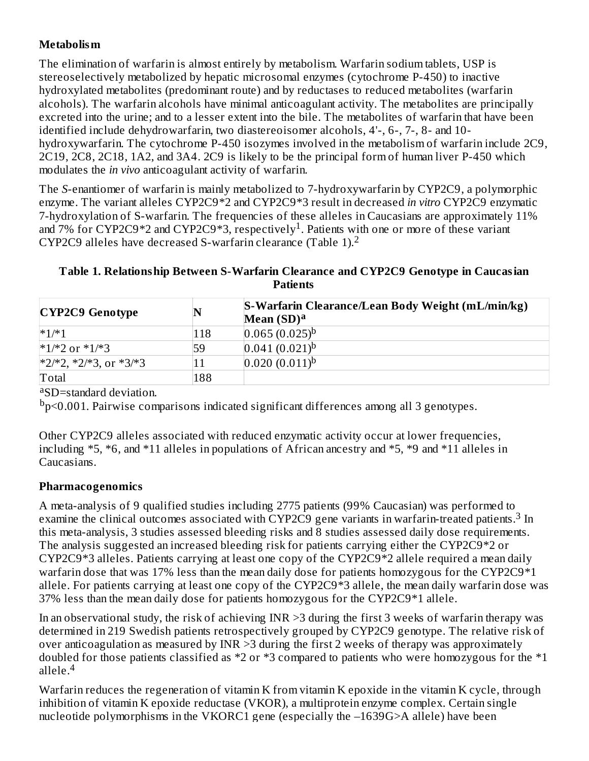## **Metabolism**

The elimination of warfarin is almost entirely by metabolism. Warfarin sodium tablets, USP is stereoselectively metabolized by hepatic microsomal enzymes (cytochrome P-450) to inactive hydroxylated metabolites (predominant route) and by reductases to reduced metabolites (warfarin alcohols). The warfarin alcohols have minimal anticoagulant activity. The metabolites are principally excreted into the urine; and to a lesser extent into the bile. The metabolites of warfarin that have been identified include dehydrowarfarin, two diastereoisomer alcohols, 4'-, 6-, 7-, 8- and 10 hydroxywarfarin. The cytochrome P-450 isozymes involved in the metabolism of warfarin include 2C9, 2C19, 2C8, 2C18, 1A2, and 3A4. 2C9 is likely to be the principal form of human liver P-450 which modulates the *in vivo* anticoagulant activity of warfarin.

The *S*-enantiomer of warfarin is mainly metabolized to 7-hydroxywarfarin by CYP2C9, a polymorphic enzyme. The variant alleles CYP2C9\*2 and CYP2C9\*3 result in decreased *in vitro* CYP2C9 enzymatic 7-hydroxylation of S-warfarin. The frequencies of these alleles in Caucasians are approximately 11% and 7% for CYP2C9\*2 and CYP2C9\*3, respectively<sup>1</sup>. Patients with one or more of these variant CYP2C9 alleles have decreased S-warfarin clearance (Table 1). 2

| Table 1. Relationship Between S-Warfarin Clearance and CYP2C9 Genotype in Caucasian           |  |  |  |
|-----------------------------------------------------------------------------------------------|--|--|--|
| <b>Patients</b>                                                                               |  |  |  |
| $\mathsf{S}\text{-}\mathsf{W}\text{-}\mathsf{refain}$ Claarance Lean Body Weight (mL /min/kg) |  |  |  |

| <b>CYP2C9 Genotype</b>         | N   | S-Warfarin Clearance/Lean Body Weight (mL/min/kg)<br>Mean $(SD)^a$ |
|--------------------------------|-----|--------------------------------------------------------------------|
| $*1,*1$                        | 118 | $0.065(0.025)^b$                                                   |
| *1/*2 or $*1/*3$               | 59  | $[0.041 (0.021)^b]$                                                |
| $*2/*2$ , $*2/*3$ , or $*3/*3$ |     | $0.020~(0.011)^b$                                                  |
| Total                          | 188 |                                                                    |

<sup>a</sup>SD=standard deviation.

 $^{\rm b}$ p<0.001. Pairwise comparisons indicated significant differences among all 3 genotypes.

Other CYP2C9 alleles associated with reduced enzymatic activity occur at lower frequencies, including \*5, \*6, and \*11 alleles in populations of African ancestry and \*5, \*9 and \*11 alleles in Caucasians.

## **Pharmacogenomics**

A meta-analysis of 9 qualified studies including 2775 patients (99% Caucasian) was performed to examine the clinical outcomes associated with CYP2C9 gene variants in warfarin-treated patients.<sup>3</sup> In this meta-analysis, 3 studies assessed bleeding risks and 8 studies assessed daily dose requirements. The analysis suggested an increased bleeding risk for patients carrying either the CYP2C9\*2 or CYP2C9\*3 alleles. Patients carrying at least one copy of the CYP2C9\*2 allele required a mean daily warfarin dose that was 17% less than the mean daily dose for patients homozygous for the CYP2C9\*1 allele. For patients carrying at least one copy of the CYP2C9\*3 allele, the mean daily warfarin dose was 37% less than the mean daily dose for patients homozygous for the CYP2C9\*1 allele.

In an observational study, the risk of achieving INR >3 during the first 3 weeks of warfarin therapy was determined in 219 Swedish patients retrospectively grouped by CYP2C9 genotype. The relative risk of over anticoagulation as measured by INR >3 during the first 2 weeks of therapy was approximately doubled for those patients classified as \*2 or \*3 compared to patients who were homozygous for the \*1 allele. 4

Warfarin reduces the regeneration of vitamin K from vitamin K epoxide in the vitamin K cycle, through inhibition of vitamin K epoxide reductase (VKOR), a multiprotein enzyme complex. Certain single nucleotide polymorphisms in the VKORC1 gene (especially the –1639G>A allele) have been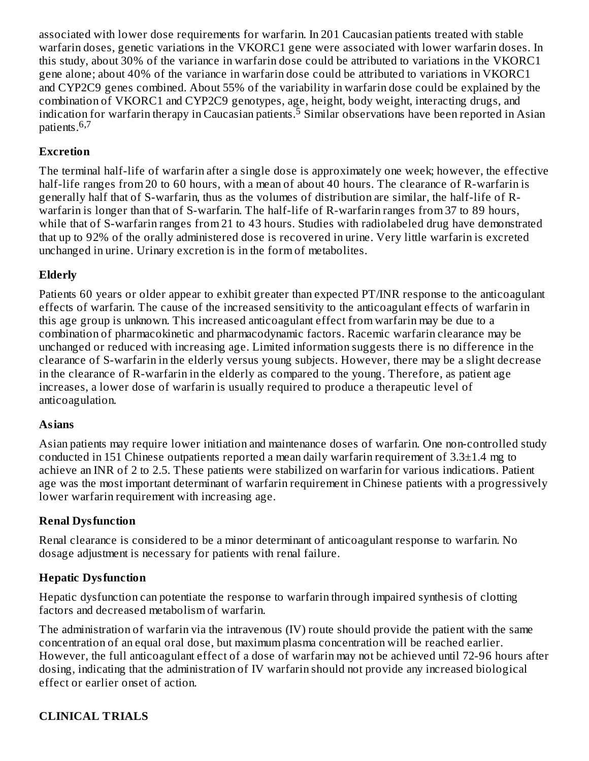associated with lower dose requirements for warfarin. In 201 Caucasian patients treated with stable warfarin doses, genetic variations in the VKORC1 gene were associated with lower warfarin doses. In this study, about 30% of the variance in warfarin dose could be attributed to variations in the VKORC1 gene alone; about 40% of the variance in warfarin dose could be attributed to variations in VKORC1 and CYP2C9 genes combined. About 55% of the variability in warfarin dose could be explained by the combination of VKORC1 and CYP2C9 genotypes, age, height, body weight, interacting drugs, and indication for warfarin therapy in Caucasian patients.<sup>5</sup> Similar observations have been reported in Asian patients. 6,7

### **Excretion**

The terminal half-life of warfarin after a single dose is approximately one week; however, the effective half-life ranges from 20 to 60 hours, with a mean of about 40 hours. The clearance of R-warfarin is generally half that of S-warfarin, thus as the volumes of distribution are similar, the half-life of Rwarfarin is longer than that of S-warfarin. The half-life of R-warfarin ranges from 37 to 89 hours, while that of S-warfarin ranges from 21 to 43 hours. Studies with radiolabeled drug have demonstrated that up to 92% of the orally administered dose is recovered in urine. Very little warfarin is excreted unchanged in urine. Urinary excretion is in the form of metabolites.

### **Elderly**

Patients 60 years or older appear to exhibit greater than expected PT/INR response to the anticoagulant effects of warfarin. The cause of the increased sensitivity to the anticoagulant effects of warfarin in this age group is unknown. This increased anticoagulant effect from warfarin may be due to a combination of pharmacokinetic and pharmacodynamic factors. Racemic warfarin clearance may be unchanged or reduced with increasing age. Limited information suggests there is no difference in the clearance of S-warfarin in the elderly versus young subjects. However, there may be a slight decrease in the clearance of R-warfarin in the elderly as compared to the young. Therefore, as patient age increases, a lower dose of warfarin is usually required to produce a therapeutic level of anticoagulation.

#### **Asians**

Asian patients may require lower initiation and maintenance doses of warfarin. One non-controlled study conducted in 151 Chinese outpatients reported a mean daily warfarin requirement of  $3.3\pm1.4$  mg to achieve an INR of 2 to 2.5. These patients were stabilized on warfarin for various indications. Patient age was the most important determinant of warfarin requirement in Chinese patients with a progressively lower warfarin requirement with increasing age.

#### **Renal Dysfunction**

Renal clearance is considered to be a minor determinant of anticoagulant response to warfarin. No dosage adjustment is necessary for patients with renal failure.

#### **Hepatic Dysfunction**

Hepatic dysfunction can potentiate the response to warfarin through impaired synthesis of clotting factors and decreased metabolism of warfarin.

The administration of warfarin via the intravenous (IV) route should provide the patient with the same concentration of an equal oral dose, but maximum plasma concentration will be reached earlier. However, the full anticoagulant effect of a dose of warfarin may not be achieved until 72-96 hours after dosing, indicating that the administration of IV warfarin should not provide any increased biological effect or earlier onset of action.

## **CLINICAL TRIALS**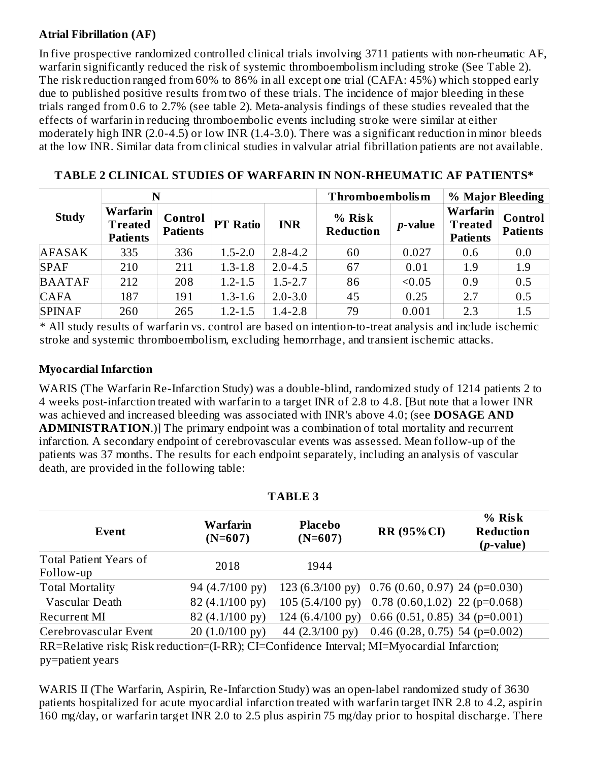### **Atrial Fibrillation (AF)**

In five prospective randomized controlled clinical trials involving 3711 patients with non-rheumatic AF, warfarin significantly reduced the risk of systemic thromboembolism including stroke (See Table 2). The risk reduction ranged from 60% to 86% in all except one trial (CAFA: 45%) which stopped early due to published positive results from two of these trials. The incidence of major bleeding in these trials ranged from 0.6 to 2.7% (see table 2). Meta-analysis findings of these studies revealed that the effects of warfarin in reducing thromboembolic events including stroke were similar at either moderately high INR (2.0-4.5) or low INR (1.4-3.0). There was a significant reduction in minor bleeds at the low INR. Similar data from clinical studies in valvular atrial fibrillation patients are not available.

|               | N                                             |                            |                 |             | <b>Thromboembolism</b>       |                 | % Major Bleeding                              |                            |
|---------------|-----------------------------------------------|----------------------------|-----------------|-------------|------------------------------|-----------------|-----------------------------------------------|----------------------------|
| <b>Study</b>  | Warfarin<br><b>Treated</b><br><b>Patients</b> | Control<br><b>Patients</b> | <b>PT Ratio</b> | <b>INR</b>  | $%$ Risk<br><b>Reduction</b> | <i>p</i> -value | Warfarin<br><b>Treated</b><br><b>Patients</b> | Control<br><b>Patients</b> |
| <b>AFASAK</b> | 335                                           | 336                        | $1.5 - 2.0$     | $2.8 - 4.2$ | 60                           | 0.027           | 0.6                                           | 0.0                        |
| <b>SPAF</b>   | 210                                           | 211                        | $1.3 - 1.8$     | $2.0 - 4.5$ | 67                           | 0.01            | 1.9                                           | 1.9                        |
| <b>BAATAF</b> | 212                                           | 208                        | $1.2 - 1.5$     | $1.5 - 2.7$ | 86                           | < 0.05          | 0.9                                           | 0.5                        |
| <b>CAFA</b>   | 187                                           | 191                        | $1.3 - 1.6$     | $2.0 - 3.0$ | 45                           | 0.25            | 2.7                                           | 0.5                        |
| <b>SPINAF</b> | 260                                           | 265                        | $1.2 - 1.5$     | $1.4 - 2.8$ | 79                           | 0.001           | 2.3                                           | 1.5                        |

**TABLE 2 CLINICAL STUDIES OF WARFARIN IN NON-RHEUMATIC AF PATIENTS\***

\* All study results of warfarin vs. control are based on intention-to-treat analysis and include ischemic stroke and systemic thromboembolism, excluding hemorrhage, and transient ischemic attacks.

#### **Myocardial Infarction**

WARIS (The Warfarin Re-Infarction Study) was a double-blind, randomized study of 1214 patients 2 to 4 weeks post-infarction treated with warfarin to a target INR of 2.8 to 4.8. [But note that a lower INR was achieved and increased bleeding was associated with INR's above 4.0; (see **DOSAGE AND ADMINISTRATION**.)] The primary endpoint was a combination of total mortality and recurrent infarction. A secondary endpoint of cerebrovascular events was assessed. Mean follow-up of the patients was 37 months. The results for each endpoint separately, including an analysis of vascular death, are provided in the following table:

| Event                                                                                      | Warfarin<br>$(N=607)$ | <b>Placebo</b><br>$(N=607)$ | <b>RR (95%CI)</b>                                   | % Risk<br><b>Reduction</b><br>( <i>p</i> -value) |  |  |
|--------------------------------------------------------------------------------------------|-----------------------|-----------------------------|-----------------------------------------------------|--------------------------------------------------|--|--|
| Total Patient Years of<br>Follow-up                                                        | 2018                  | 1944                        |                                                     |                                                  |  |  |
| <b>Total Mortality</b>                                                                     | 94 (4.7/100 py)       |                             | 123 (6.3/100 py) 0.76 (0.60, 0.97) 24 ( $p=0.030$ ) |                                                  |  |  |
| Vascular Death                                                                             | 82 (4.1/100 py)       |                             | 105 (5.4/100 py) 0.78 (0.60,1.02) 22 ( $p=0.068$ )  |                                                  |  |  |
| <b>Recurrent MI</b>                                                                        | 82 (4.1/100 py)       |                             | 124 (6.4/100 py) 0.66 (0.51, 0.85) 34 ( $p=0.001$ ) |                                                  |  |  |
| Cerebrovascular Event                                                                      | $20(1.0/100)$ py)     |                             | 44 (2.3/100 py) 0.46 (0.28, 0.75) 54 ( $p=0.002$ )  |                                                  |  |  |
| RR=Relative risk; Risk reduction=(I-RR); CI=Confidence Interval; MI=Myocardial Infarction; |                       |                             |                                                     |                                                  |  |  |

**TABLE 3**

RR=Relative risk; Risk reduction=(I-RR); CI=Confidence Interval; MI=Myocardial Infarction; py=patient years

WARIS II (The Warfarin, Aspirin, Re-Infarction Study) was an open-label randomized study of 3630 patients hospitalized for acute myocardial infarction treated with warfarin target INR 2.8 to 4.2, aspirin 160 mg/day, or warfarin target INR 2.0 to 2.5 plus aspirin 75 mg/day prior to hospital discharge. There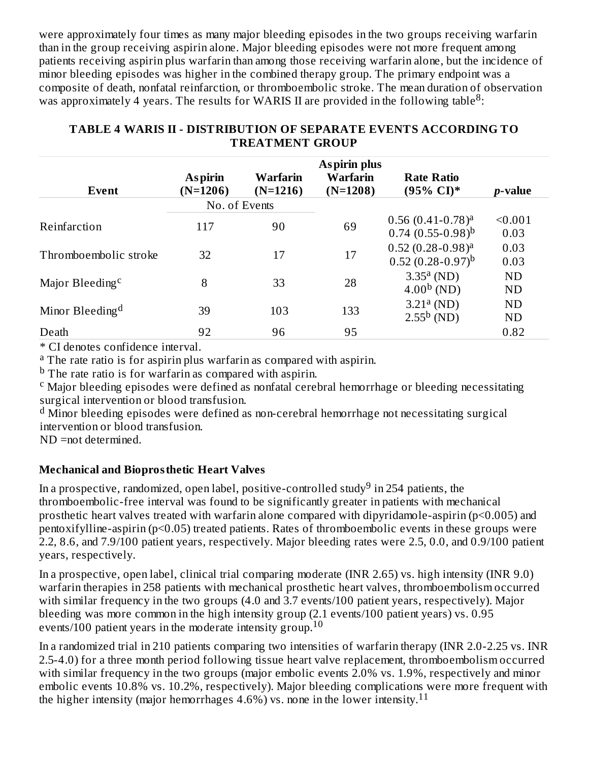were approximately four times as many major bleeding episodes in the two groups receiving warfarin than in the group receiving aspirin alone. Major bleeding episodes were not more frequent among patients receiving aspirin plus warfarin than among those receiving warfarin alone, but the incidence of minor bleeding episodes was higher in the combined therapy group. The primary endpoint was a composite of death, nonfatal reinfarction, or thromboembolic stroke. The mean duration of observation was approximately 4 years. The results for WARIS II are provided in the following table<sup>8</sup>:

| Event                       | <b>Aspirin</b><br>$(N=1206)$ | Warfarin<br>$(N=1216)$ | As pirin plus<br>Warfarin<br>$(N=1208)$ | <b>Rate Ratio</b><br>$(95\% \text{ CI})^*$                    | <i>p</i> -value        |
|-----------------------------|------------------------------|------------------------|-----------------------------------------|---------------------------------------------------------------|------------------------|
|                             | No. of Events                |                        |                                         |                                                               |                        |
| Reinfarction                | 117                          | 90                     | 69                                      | $0.56$ $(0.41-0.78)$ <sup>a</sup><br>$(0.74 (0.55-0.98)^{b})$ | < 0.001<br>0.03        |
| Thromboembolic stroke       | 32                           | 17                     | 17                                      | $0.52(0.28-0.98)^{a}$<br>$0.52(0.28-0.97)^{b}$                | 0.03<br>0.03           |
| Major Bleeding <sup>c</sup> | 8                            | 33                     | 28                                      | $3.35a$ (ND)<br>$4.00b$ (ND)                                  | <b>ND</b><br><b>ND</b> |
| Minor Bleeding <sup>d</sup> | 39                           | 103                    | 133                                     | $3.21a$ (ND)<br>$2.55b$ (ND)                                  | <b>ND</b><br><b>ND</b> |
| Death                       | 92                           | 96                     | 95                                      |                                                               | 0.82                   |

#### **TABLE 4 WARIS II - DISTRIBUTION OF SEPARATE EVENTS ACCORDING TO TREATMENT GROUP**

\* CI denotes confidence interval.

<sup>a</sup> The rate ratio is for aspirin plus warfarin as compared with aspirin.

 $^{\rm b}$  The rate ratio is for warfarin as compared with aspirin.

 $\rm ^c$  Major bleeding episodes were defined as nonfatal cerebral hemorrhage or bleeding necessitating surgical intervention or blood transfusion.

 $^{\rm d}$  Minor bleeding episodes were defined as non-cerebral hemorrhage not necessitating surgical intervention or blood transfusion.

ND =not determined.

## **Mechanical and Bioprosthetic Heart Valves**

In a prospective, randomized, open label, positive-controlled study $^9$  in 254 patients, the thromboembolic-free interval was found to be significantly greater in patients with mechanical prosthetic heart valves treated with warfarin alone compared with dipyridamole-aspirin (p<0.005) and pentoxifylline-aspirin (p<0.05) treated patients. Rates of thromboembolic events in these groups were 2.2, 8.6, and 7.9/100 patient years, respectively. Major bleeding rates were 2.5, 0.0, and 0.9/100 patient years, respectively.

In a prospective, open label, clinical trial comparing moderate (INR 2.65) vs. high intensity (INR 9.0) warfarin therapies in 258 patients with mechanical prosthetic heart valves, thromboembolism occurred with similar frequency in the two groups (4.0 and 3.7 events/100 patient years, respectively). Major bleeding was more common in the high intensity group (2.1 events/100 patient years) vs. 0.95 events/100 patient years in the moderate intensity group.<sup>10</sup>

In a randomized trial in 210 patients comparing two intensities of warfarin therapy (INR 2.0-2.25 vs. INR 2.5-4.0) for a three month period following tissue heart valve replacement, thromboembolism occurred with similar frequency in the two groups (major embolic events 2.0% vs. 1.9%, respectively and minor embolic events 10.8% vs. 10.2%, respectively). Major bleeding complications were more frequent with the higher intensity (major hemorrhages 4.6%) vs. none in the lower intensity.<sup>11</sup>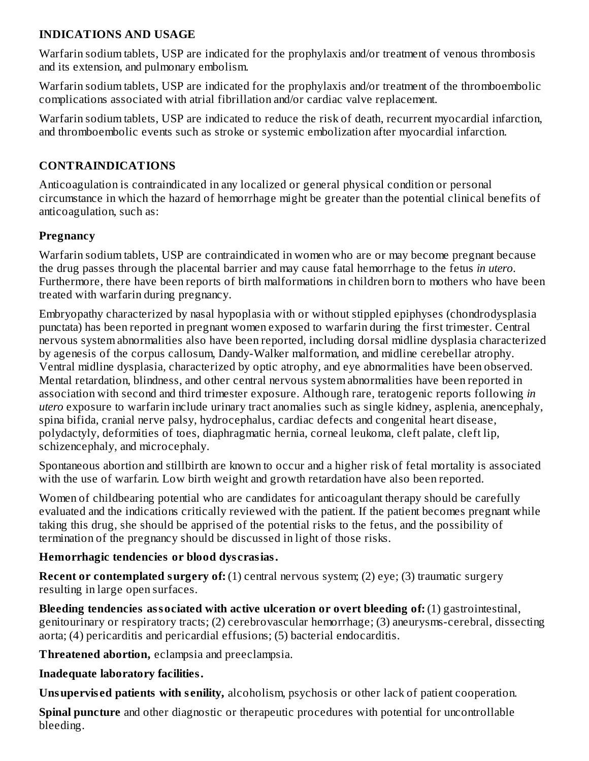#### **INDICATIONS AND USAGE**

Warfarin sodium tablets, USP are indicated for the prophylaxis and/or treatment of venous thrombosis and its extension, and pulmonary embolism.

Warfarin sodium tablets, USP are indicated for the prophylaxis and/or treatment of the thromboembolic complications associated with atrial fibrillation and/or cardiac valve replacement.

Warfarin sodium tablets, USP are indicated to reduce the risk of death, recurrent myocardial infarction, and thromboembolic events such as stroke or systemic embolization after myocardial infarction.

### **CONTRAINDICATIONS**

Anticoagulation is contraindicated in any localized or general physical condition or personal circumstance in which the hazard of hemorrhage might be greater than the potential clinical benefits of anticoagulation, such as:

## **Pregnancy**

Warfarin sodium tablets, USP are contraindicated in women who are or may become pregnant because the drug passes through the placental barrier and may cause fatal hemorrhage to the fetus *in utero*. Furthermore, there have been reports of birth malformations in children born to mothers who have been treated with warfarin during pregnancy.

Embryopathy characterized by nasal hypoplasia with or without stippled epiphyses (chondrodysplasia punctata) has been reported in pregnant women exposed to warfarin during the first trimester. Central nervous system abnormalities also have been reported, including dorsal midline dysplasia characterized by agenesis of the corpus callosum, Dandy-Walker malformation, and midline cerebellar atrophy. Ventral midline dysplasia, characterized by optic atrophy, and eye abnormalities have been observed. Mental retardation, blindness, and other central nervous system abnormalities have been reported in association with second and third trimester exposure. Although rare, teratogenic reports following *in utero* exposure to warfarin include urinary tract anomalies such as single kidney, asplenia, anencephaly, spina bifida, cranial nerve palsy, hydrocephalus, cardiac defects and congenital heart disease, polydactyly, deformities of toes, diaphragmatic hernia, corneal leukoma, cleft palate, cleft lip, schizencephaly, and microcephaly.

Spontaneous abortion and stillbirth are known to occur and a higher risk of fetal mortality is associated with the use of warfarin. Low birth weight and growth retardation have also been reported.

Women of childbearing potential who are candidates for anticoagulant therapy should be carefully evaluated and the indications critically reviewed with the patient. If the patient becomes pregnant while taking this drug, she should be apprised of the potential risks to the fetus, and the possibility of termination of the pregnancy should be discussed in light of those risks.

## **Hemorrhagic tendencies or blood dys crasias.**

**Recent or contemplated surgery of:** (1) central nervous system; (2) eye; (3) traumatic surgery resulting in large open surfaces.

**Bleeding tendencies associated with active ulceration or overt bleeding of:** (1) gastrointestinal, genitourinary or respiratory tracts; (2) cerebrovascular hemorrhage; (3) aneurysms-cerebral, dissecting aorta; (4) pericarditis and pericardial effusions; (5) bacterial endocarditis.

**Threatened abortion,** eclampsia and preeclampsia.

#### **Inadequate laboratory facilities.**

**Unsupervis ed patients with s enility,** alcoholism, psychosis or other lack of patient cooperation.

**Spinal puncture** and other diagnostic or therapeutic procedures with potential for uncontrollable bleeding.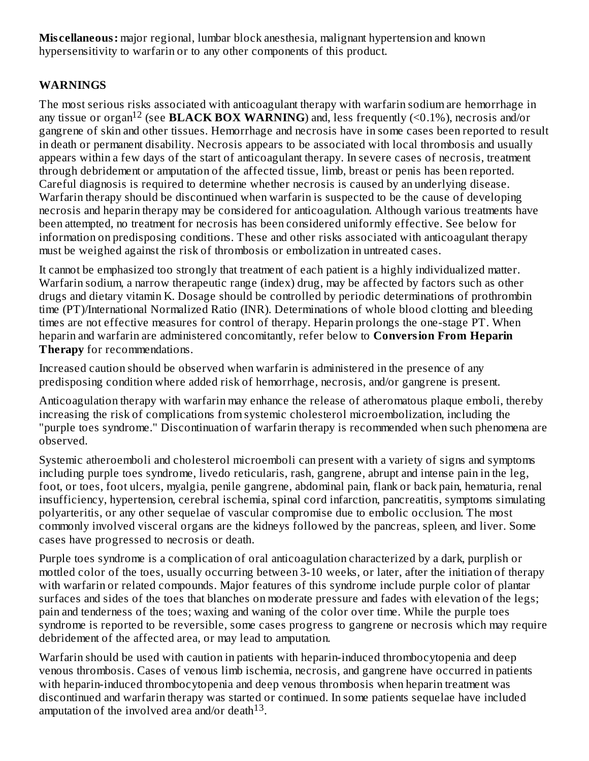**Mis cellaneous:** major regional, lumbar block anesthesia, malignant hypertension and known hypersensitivity to warfarin or to any other components of this product.

### **WARNINGS**

The most serious risks associated with anticoagulant therapy with warfarin sodium are hemorrhage in any tissue or organ<sup>12</sup> (see **BLACK BOX WARNING**) and, less frequently (<0.1%), necrosis and/or gangrene of skin and other tissues. Hemorrhage and necrosis have in some cases been reported to result in death or permanent disability. Necrosis appears to be associated with local thrombosis and usually appears within a few days of the start of anticoagulant therapy. In severe cases of necrosis, treatment through debridement or amputation of the affected tissue, limb, breast or penis has been reported. Careful diagnosis is required to determine whether necrosis is caused by an underlying disease. Warfarin therapy should be discontinued when warfarin is suspected to be the cause of developing necrosis and heparin therapy may be considered for anticoagulation. Although various treatments have been attempted, no treatment for necrosis has been considered uniformly effective. See below for information on predisposing conditions. These and other risks associated with anticoagulant therapy must be weighed against the risk of thrombosis or embolization in untreated cases.

It cannot be emphasized too strongly that treatment of each patient is a highly individualized matter. Warfarin sodium, a narrow therapeutic range (index) drug, may be affected by factors such as other drugs and dietary vitamin K. Dosage should be controlled by periodic determinations of prothrombin time (PT)/International Normalized Ratio (INR). Determinations of whole blood clotting and bleeding times are not effective measures for control of therapy. Heparin prolongs the one-stage PT. When heparin and warfarin are administered concomitantly, refer below to **Conversion From Heparin Therapy** for recommendations.

Increased caution should be observed when warfarin is administered in the presence of any predisposing condition where added risk of hemorrhage, necrosis, and/or gangrene is present.

Anticoagulation therapy with warfarin may enhance the release of atheromatous plaque emboli, thereby increasing the risk of complications from systemic cholesterol microembolization, including the "purple toes syndrome." Discontinuation of warfarin therapy is recommended when such phenomena are observed.

Systemic atheroemboli and cholesterol microemboli can present with a variety of signs and symptoms including purple toes syndrome, livedo reticularis, rash, gangrene, abrupt and intense pain in the leg, foot, or toes, foot ulcers, myalgia, penile gangrene, abdominal pain, flank or back pain, hematuria, renal insufficiency, hypertension, cerebral ischemia, spinal cord infarction, pancreatitis, symptoms simulating polyarteritis, or any other sequelae of vascular compromise due to embolic occlusion. The most commonly involved visceral organs are the kidneys followed by the pancreas, spleen, and liver. Some cases have progressed to necrosis or death.

Purple toes syndrome is a complication of oral anticoagulation characterized by a dark, purplish or mottled color of the toes, usually occurring between 3-10 weeks, or later, after the initiation of therapy with warfarin or related compounds. Major features of this syndrome include purple color of plantar surfaces and sides of the toes that blanches on moderate pressure and fades with elevation of the legs; pain and tenderness of the toes; waxing and waning of the color over time. While the purple toes syndrome is reported to be reversible, some cases progress to gangrene or necrosis which may require debridement of the affected area, or may lead to amputation.

Warfarin should be used with caution in patients with heparin-induced thrombocytopenia and deep venous thrombosis. Cases of venous limb ischemia, necrosis, and gangrene have occurred in patients with heparin-induced thrombocytopenia and deep venous thrombosis when heparin treatment was discontinued and warfarin therapy was started or continued. In some patients sequelae have included amputation of the involved area and/or death $^{13}$ .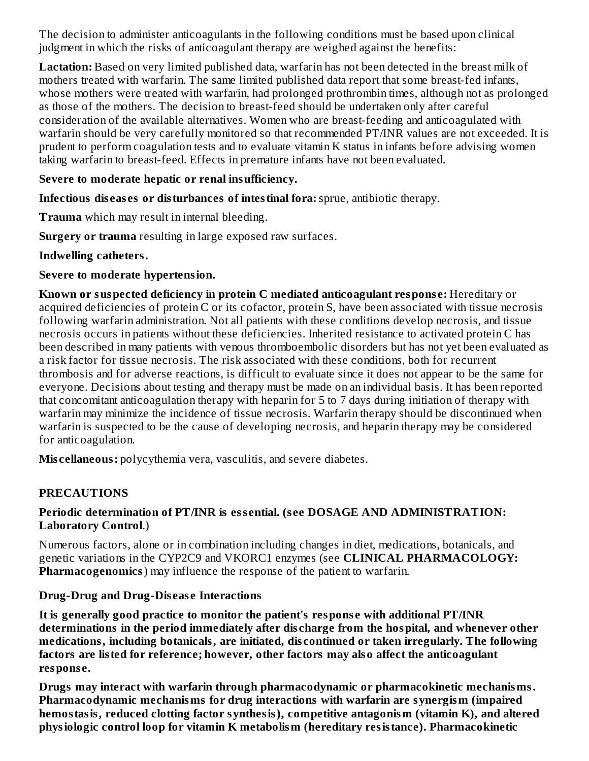The decision to administer anticoagulants in the following conditions must be based upon clinical judgment in which the risks of anticoagulant therapy are weighed against the benefits:

**Lactation:** Based on very limited published data, warfarin has not been detected in the breast milk of mothers treated with warfarin. The same limited published data report that some breast-fed infants, whose mothers were treated with warfarin, had prolonged prothrombin times, although not as prolonged as those of the mothers. The decision to breast-feed should be undertaken only after careful consideration of the available alternatives. Women who are breast-feeding and anticoagulated with warfarin should be very carefully monitored so that recommended PT/INR values are not exceeded. It is prudent to perform coagulation tests and to evaluate vitamin K status in infants before advising women taking warfarin to breast-feed. Effects in premature infants have not been evaluated.

### **Severe to moderate hepatic or renal insufficiency.**

**Infectious dis eas es or disturbances of intestinal fora:**sprue, antibiotic therapy.

**Trauma** which may result in internal bleeding.

**Surgery or trauma** resulting in large exposed raw surfaces.

### **Indwelling catheters.**

### **Severe to moderate hypertension.**

**Known or suspected deficiency in protein C mediated anticoagulant respons e:** Hereditary or acquired deficiencies of protein C or its cofactor, protein S, have been associated with tissue necrosis following warfarin administration. Not all patients with these conditions develop necrosis, and tissue necrosis occurs in patients without these deficiencies. Inherited resistance to activated protein C has been described in many patients with venous thromboembolic disorders but has not yet been evaluated as a risk factor for tissue necrosis. The risk associated with these conditions, both for recurrent thrombosis and for adverse reactions, is difficult to evaluate since it does not appear to be the same for everyone. Decisions about testing and therapy must be made on an individual basis. It has been reported that concomitant anticoagulation therapy with heparin for 5 to 7 days during initiation of therapy with warfarin may minimize the incidence of tissue necrosis. Warfarin therapy should be discontinued when warfarin is suspected to be the cause of developing necrosis, and heparin therapy may be considered for anticoagulation.

**Mis cellaneous:** polycythemia vera, vasculitis, and severe diabetes.

## **PRECAUTIONS**

### **Periodic determination of PT/INR is ess ential. (s ee DOSAGE AND ADMINISTRATION: Laboratory Control**.)

Numerous factors, alone or in combination including changes in diet, medications, botanicals, and genetic variations in the CYP2C9 and VKORC1 enzymes (see **CLINICAL PHARMACOLOGY: Pharmacogenomics**) may influence the response of the patient to warfarin.

## **Drug-Drug and Drug-Dis eas e Interactions**

**It is generally good practice to monitor the patient's respons e with additional PT/INR determinations in the period immediately after dis charge from the hospital, and whenever other medications, including botanicals, are initiated, dis continued or taken irregularly. The following factors are listed for reference; however, other factors may also affect the anticoagulant respons e.**

**Drugs may interact with warfarin through pharmacodynamic or pharmacokinetic mechanisms. Pharmacodynamic mechanisms for drug interactions with warfarin are synergism (impaired hemostasis, reduced clotting factor synthesis), competitive antagonism (vitamin K), and altered physiologic control loop for vitamin K metabolism (hereditary resistance). Pharmacokinetic**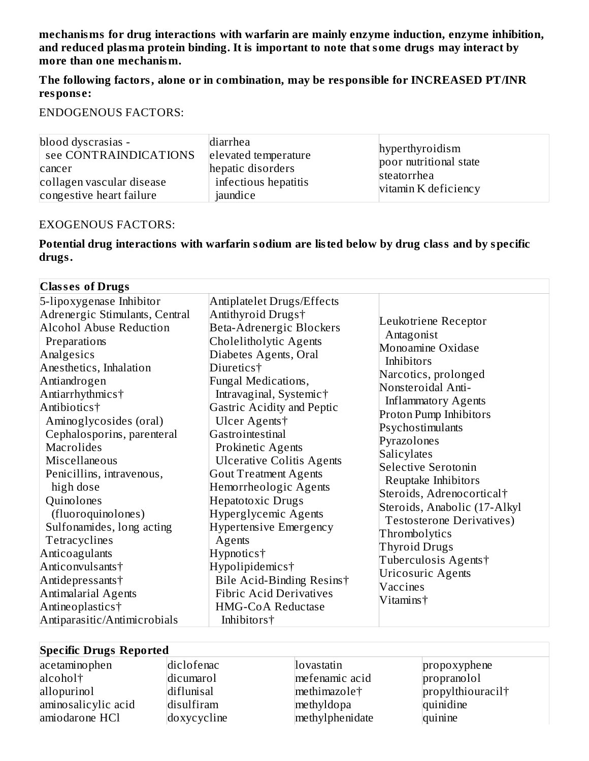**mechanisms for drug interactions with warfarin are mainly enzyme induction, enzyme inhibition, and reduced plasma protein binding. It is important to note that some drugs may interact by more than one mechanism.**

**The following factors, alone or in combination, may be responsible for INCREASED PT/INR respons e:**

#### ENDOGENOUS FACTORS:

| blood dyscrasias -<br>see CONTRAINDICATIONS<br>cancer<br>collagen vascular disease<br>congestive heart failure | diarrhea<br>elevated temperature<br>hepatic disorders<br>infectious hepatitis<br>jaundice | hyperthyroidism<br>poor nutritional state<br>steatorrhea<br>vitamin K deficiency |
|----------------------------------------------------------------------------------------------------------------|-------------------------------------------------------------------------------------------|----------------------------------------------------------------------------------|
|----------------------------------------------------------------------------------------------------------------|-------------------------------------------------------------------------------------------|----------------------------------------------------------------------------------|

#### EXOGENOUS FACTORS:

#### **Potential drug interactions with warfarin sodium are listed below by drug class and by specific drugs.**

| <b>Classes of Drugs</b>                                                                                                                                                                                                                            |                                                                                                                                                                                                                                                                                  |                                                                                                                                                                                                                                                                  |
|----------------------------------------------------------------------------------------------------------------------------------------------------------------------------------------------------------------------------------------------------|----------------------------------------------------------------------------------------------------------------------------------------------------------------------------------------------------------------------------------------------------------------------------------|------------------------------------------------------------------------------------------------------------------------------------------------------------------------------------------------------------------------------------------------------------------|
| 5-lipoxygenase Inhibitor                                                                                                                                                                                                                           | Antiplatelet Drugs/Effects                                                                                                                                                                                                                                                       |                                                                                                                                                                                                                                                                  |
| Adrenergic Stimulants, Central                                                                                                                                                                                                                     | Antithyroid Drugs†                                                                                                                                                                                                                                                               | Leukotriene Receptor                                                                                                                                                                                                                                             |
| <b>Alcohol Abuse Reduction</b>                                                                                                                                                                                                                     | Beta-Adrenergic Blockers<br>Cholelitholytic Agents                                                                                                                                                                                                                               | Antagonist                                                                                                                                                                                                                                                       |
| Preparations<br>Analgesics                                                                                                                                                                                                                         | Diabetes Agents, Oral                                                                                                                                                                                                                                                            | Monoamine Oxidase<br>Inhibitors                                                                                                                                                                                                                                  |
| Anesthetics, Inhalation<br>Antiandrogen<br>Antiarrhythmics†                                                                                                                                                                                        | Diuretics <sup>†</sup><br>Fungal Medications,<br>Intravaginal, Systemict                                                                                                                                                                                                         | Narcotics, prolonged<br>Nonsteroidal Anti-<br><b>Inflammatory Agents</b>                                                                                                                                                                                         |
| Antibiotics <sup>†</sup><br>Aminoglycosides (oral)<br>Cephalosporins, parenteral<br><b>Macrolides</b><br>Miscellaneous<br>Penicillins, intravenous,<br>high dose<br>Quinolones<br>(fluoroquinolones)<br>Sulfonamides, long acting<br>Tetracyclines | <b>Gastric Acidity and Peptic</b><br>Ulcer Agents†<br>Gastrointestinal<br>Prokinetic Agents<br><b>Ulcerative Colitis Agents</b><br><b>Gout Treatment Agents</b><br>Hemorrheologic Agents<br><b>Hepatotoxic Drugs</b><br>Hyperglycemic Agents<br>Hypertensive Emergency<br>Agents | Proton Pump Inhibitors<br>Psychostimulants<br>Pyrazolones<br>Salicylates<br>Selective Serotonin<br>Reuptake Inhibitors<br>Steroids, Adrenocortical†<br>Steroids, Anabolic (17-Alkyl<br><b>Testosterone Derivatives)</b><br>Thrombolytics<br><b>Thyroid Drugs</b> |
| Anticoagulants<br>Anticonvulsants†                                                                                                                                                                                                                 | Hypnotics <sup>†</sup><br>Hypolipidemics†                                                                                                                                                                                                                                        | Tuberculosis Agents†                                                                                                                                                                                                                                             |
| Antidepressants <sup>+</sup><br>Antimalarial Agents<br>Antineoplastics†<br>Antiparasitic/Antimicrobials                                                                                                                                            | Bile Acid-Binding Resinst<br><b>Fibric Acid Derivatives</b><br><b>HMG-CoA Reductase</b><br>Inhibitors†                                                                                                                                                                           | Uricosuric Agents<br>Vaccines<br>Vitamins†                                                                                                                                                                                                                       |

#### **Specific Drugs Reported**

| acetaminophen        |  |
|----------------------|--|
| alcohol <sup>+</sup> |  |
| allopurinol          |  |
| aminosalicylic acid  |  |
| amiodarone HCl       |  |

diclofenac dicumarol diflunisal disulfiram doxycycline

lovastatin mefenamic acid methimazole† methyldopa methylphenidate propoxyphene propranolol propylthiouracil† quinidine quinine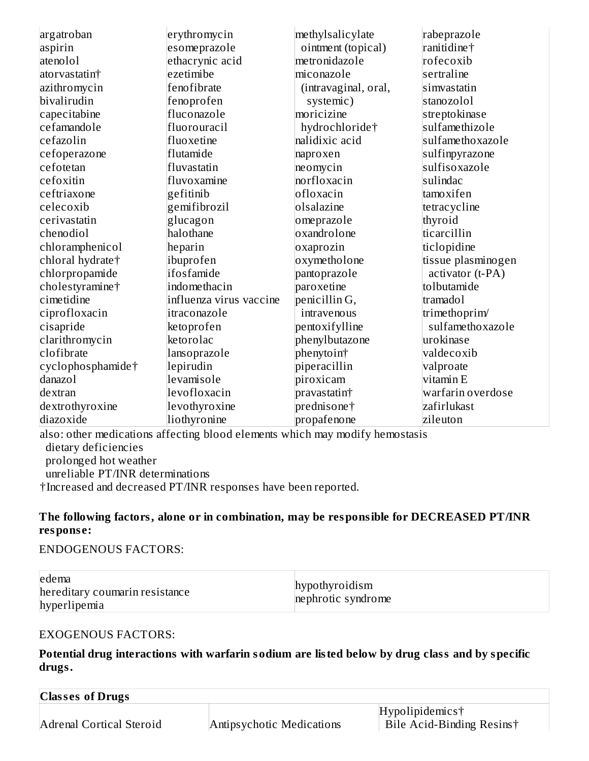| argatroban                    | erythromycin            | methylsalicylate           | rabeprazole             |
|-------------------------------|-------------------------|----------------------------|-------------------------|
| aspirin                       | esomeprazole            | ointment (topical)         | ranitidine <sup>†</sup> |
| atenolol                      | ethacrynic acid         | metronidazole              | rofecoxib               |
| atorvastatin <sup>†</sup>     | ezetimibe               | miconazole                 | sertraline              |
| azithromycin                  | fenofibrate             | (intravaginal, oral,       | simvastatin             |
| bivalirudin                   | fenoprofen              | systemic)                  | stanozolol              |
| capecitabine                  | fluconazole             | moricizine                 | streptokinase           |
| cefamandole                   | fluorouracil            | hydrochloride <sup>†</sup> | sulfamethizole          |
| cefazolin                     | fluoxetine              | nalidixic acid             | sulfamethoxazole        |
| cefoperazone                  | flutamide               | naproxen                   | sulfinpyrazone          |
| cefotetan                     | fluvastatin             | neomycin                   | sulfisoxazole           |
| cefoxitin                     | fluvoxamine             | norfloxacin                | sulindac                |
| ceftriaxone                   | gefitinib               | ofloxacin                  | tamoxifen               |
| celecoxib                     | gemifibrozil            | olsalazine                 | tetracycline            |
| cerivastatin                  | glucagon                | omeprazole                 | thyroid                 |
| chenodiol                     | halothane               | oxandrolone                | ticarcillin             |
| chloramphenicol               | heparin                 | oxaprozin                  | ticlopidine             |
| chloral hydrate†              | ibuprofen               | oxymetholone               | tissue plasminogen      |
| chlorpropamide                | ifosfamide              | pantoprazole               | activator (t-PA)        |
| cholestyramine†               | indomethacin            | paroxetine                 | tolbutamide             |
| cimetidine                    | influenza virus vaccine | penicillin G,              | tramadol                |
| ciprofloxacin                 | itraconazole            | intravenous                | trimethoprim/           |
| cisapride                     | ketoprofen              | pentoxifylline             | sulfamethoxazole        |
| clarithromycin                | ketorolac               | phenylbutazone             | urokinase               |
| clofibrate                    | lansoprazole            | phenytoin†                 | valdecoxib              |
| cyclophosphamide <sup>+</sup> | lepirudin               | piperacillin               | valproate               |
| danazol                       | levamisole              | piroxicam                  | vitamin E               |
| dextran                       | levofloxacin            | pravastatin†               | warfarin overdose       |
| dextrothyroxine               | levothyroxine           | prednisone†                | zafirlukast             |
| diazoxide                     | liothyronine            | propafenone                | zileuton                |

also: other medications affecting blood elements which may modify hemostasis dietary deficiencies prolonged hot weather unreliable PT/INR determinations

†Increased and decreased PT/INR responses have been reported.

## **The following factors, alone or in combination, may be responsible for DECREASED PT/INR respons e:**

## ENDOGENOUS FACTORS:

| ledema<br>hereditary coumarin resistance<br>hyperlipemia | hypothyroidism<br>nephrotic syndrome |  |
|----------------------------------------------------------|--------------------------------------|--|
|----------------------------------------------------------|--------------------------------------|--|

## EXOGENOUS FACTORS:

**Potential drug interactions with warfarin sodium are listed below by drug class and by specific drugs.**

| <b>Classes of Drugs</b>  |                           |                             |  |  |  |  |
|--------------------------|---------------------------|-----------------------------|--|--|--|--|
|                          |                           | Hypolipidemics <sup>†</sup> |  |  |  |  |
| Adrenal Cortical Steroid | Antipsychotic Medications | Bile Acid-Binding Resinst   |  |  |  |  |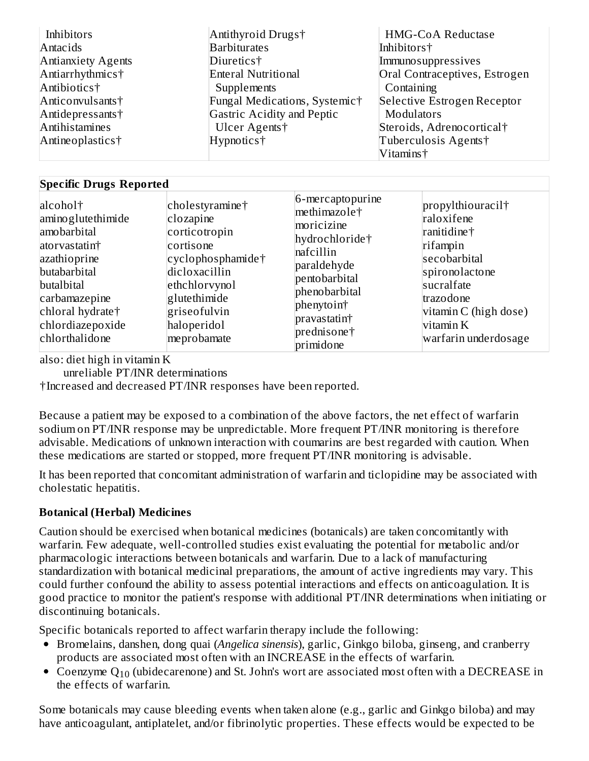| Inhibitors                | Antithyroid Drugs <sup>†</sup> | <b>HMG-CoA Reductase</b>              |
|---------------------------|--------------------------------|---------------------------------------|
| Antacids                  | <b>Barbiturates</b>            | Inhibitors†                           |
| <b>Antianxiety Agents</b> | Diuretics <sup>†</sup>         | Immunosuppressives                    |
| Antiarrhythmics†          | <b>Enteral Nutritional</b>     | Oral Contraceptives, Estrogen         |
| Antibiotics <sup>†</sup>  | Supplements                    | Containing                            |
| Anticonvulsants†          | Fungal Medications, Systemic†  | Selective Estrogen Receptor           |
| Antidepressants†          | Gastric Acidity and Peptic     | Modulators                            |
| Antihistamines            | Ulcer Agents†                  | Steroids, Adrenocortical <sup>+</sup> |
| Antineoplastics†          | Hypnotics <sup>†</sup>         | Tuberculosis Agents†                  |
|                           |                                | Vitamins <sup>†</sup>                 |

| <b>Specific Drugs Reported</b>                                                                                                                                                                                 |                                                                                                                                                                                    |                                                                                                                                                                                                                  |                                                                                                                                                                                                   |  |  |  |
|----------------------------------------------------------------------------------------------------------------------------------------------------------------------------------------------------------------|------------------------------------------------------------------------------------------------------------------------------------------------------------------------------------|------------------------------------------------------------------------------------------------------------------------------------------------------------------------------------------------------------------|---------------------------------------------------------------------------------------------------------------------------------------------------------------------------------------------------|--|--|--|
| alcohol <sup>+</sup><br>aminoglutethimide<br>amobarbital<br>atorvastatin†<br>azathioprine<br>butabarbital<br>butalbital<br>carbamazepine<br>chloral hydrate <sup>+</sup><br>chlordiazepoxide<br>chlorthalidone | cholestyramine†<br>clozapine<br>corticotropin<br>cortisone<br>$cyclop$ hosphamide†<br>dicloxacillin<br>ethchlorvynol<br>glutethimide<br>griseofulvin<br>haloperidol<br>meprobamate | 6-mercaptopurine<br>methimazolet<br>moricizine<br>hydrochloride <sup>+</sup><br>nafcillin<br>paraldehyde<br>pentobarbital<br>phenobarbital<br>phenytoin <sup>†</sup><br>pravastatin†<br>prednisone†<br>primidone | propylthiouracil <sup>†</sup><br>raloxifene<br>ranitidine†<br>rifampin<br>secobarbital<br>spironolactone<br>sucralfate<br>trazodone<br>vitamin C (high dose)<br>vitamin K<br>warfarin underdosage |  |  |  |

also: diet high in vitamin K

unreliable PT/INR determinations

†Increased and decreased PT/INR responses have been reported.

Because a patient may be exposed to a combination of the above factors, the net effect of warfarin sodium on PT/INR response may be unpredictable. More frequent PT/INR monitoring is therefore advisable. Medications of unknown interaction with coumarins are best regarded with caution. When these medications are started or stopped, more frequent PT/INR monitoring is advisable.

It has been reported that concomitant administration of warfarin and ticlopidine may be associated with cholestatic hepatitis.

#### **Botanical (Herbal) Medicines**

Caution should be exercised when botanical medicines (botanicals) are taken concomitantly with warfarin. Few adequate, well-controlled studies exist evaluating the potential for metabolic and/or pharmacologic interactions between botanicals and warfarin. Due to a lack of manufacturing standardization with botanical medicinal preparations, the amount of active ingredients may vary. This could further confound the ability to assess potential interactions and effects on anticoagulation. It is good practice to monitor the patient's response with additional PT/INR determinations when initiating or discontinuing botanicals.

Specific botanicals reported to affect warfarin therapy include the following:

- Bromelains, danshen, dong quai (*Angelica sinensis*), garlic, Ginkgo biloba, ginseng, and cranberry products are associated most often with an INCREASE in the effects of warfarin.
- Coenzyme  $\mathrm{Q}_{10}$  (ubidecarenone) and St. John's wort are associated most often with a DECREASE in the effects of warfarin.

Some botanicals may cause bleeding events when taken alone (e.g., garlic and Ginkgo biloba) and may have anticoagulant, antiplatelet, and/or fibrinolytic properties. These effects would be expected to be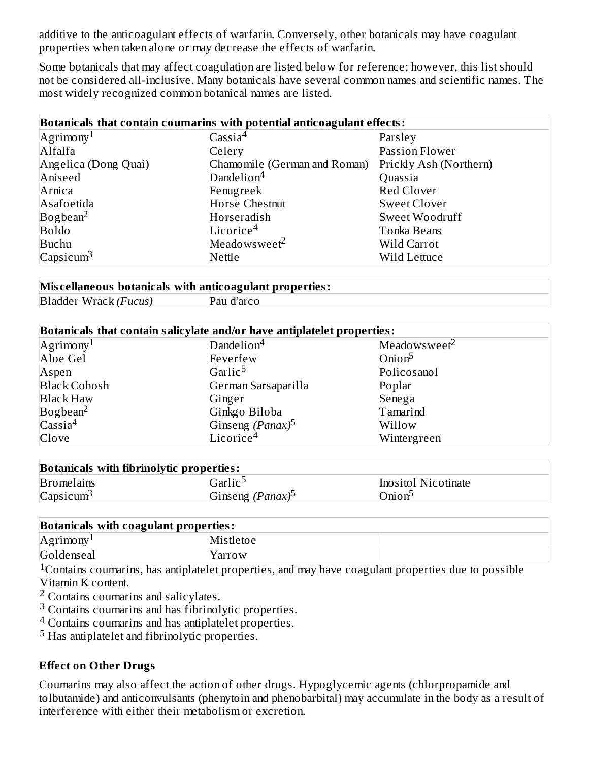additive to the anticoagulant effects of warfarin. Conversely, other botanicals may have coagulant properties when taken alone or may decrease the effects of warfarin.

Some botanicals that may affect coagulation are listed below for reference; however, this list should not be considered all-inclusive. Many botanicals have several common names and scientific names. The most widely recognized common botanical names are listed.

| Botanicals that contain coumarins with potential anticoagulant effects: |                              |                        |  |  |  |
|-------------------------------------------------------------------------|------------------------------|------------------------|--|--|--|
| $A$ grimony <sup>1</sup>                                                | $\textsf{Cassia}^4$          | Parsley                |  |  |  |
| Alfalfa                                                                 | Celery                       | Passion Flower         |  |  |  |
| Angelica (Dong Quai)                                                    | Chamomile (German and Roman) | Prickly Ash (Northern) |  |  |  |
| Aniseed                                                                 | Dandelion <sup>4</sup>       | Quassia                |  |  |  |
| Arnica                                                                  | Fenugreek                    | <b>Red Clover</b>      |  |  |  |
| Asafoetida                                                              | <b>Horse Chestnut</b>        | <b>Sweet Clover</b>    |  |  |  |
| Bogbean <sup>2</sup>                                                    | Horseradish                  | Sweet Woodruff         |  |  |  |
| Boldo                                                                   | Licorice <sup>4</sup>        | Tonka Beans            |  |  |  |
| <b>Buchu</b>                                                            | Meadowsweet <sup>2</sup>     | <b>Wild Carrot</b>     |  |  |  |
| $C$ apsicum <sup>3</sup>                                                | Nettle                       | <b>Wild Lettuce</b>    |  |  |  |

| Miscellaneous botanicals with anticoagulant properties: |            |
|---------------------------------------------------------|------------|
| Bladder Wrack (Fucus)                                   | Pau d'arco |

| Botanicals that contain salicylate and/or have antiplatelet properties: |                        |                          |  |  |
|-------------------------------------------------------------------------|------------------------|--------------------------|--|--|
| $A$ grimony <sup>1</sup>                                                | Dandelion <sup>4</sup> | Meadowsweet <sup>2</sup> |  |  |
| Aloe Gel                                                                | Feverfew               | Onion <sup>5</sup>       |  |  |
| Aspen                                                                   | Garlic <sup>5</sup>    | Policosanol              |  |  |
| <b>Black Cohosh</b>                                                     | German Sarsaparilla    | Poplar                   |  |  |
| <b>Black Haw</b>                                                        | Ginger                 | Senega                   |  |  |
| Bogbean <sup>2</sup>                                                    | Ginkgo Biloba          | Tamarind                 |  |  |
| $\text{Cassia}^4$                                                       | Ginseng (Panax) $5$    | Willow                   |  |  |
| Clove                                                                   | Licorice <sup>4</sup>  | Wintergreen              |  |  |

| <b>Botanicals with fibrinolytic properties:</b> |                              |                     |  |  |  |
|-------------------------------------------------|------------------------------|---------------------|--|--|--|
| <b>Bromelains</b>                               | Garlic <sup>5</sup>          | Inositol Nicotinate |  |  |  |
| $\text{Capsicum}^3$                             | Ginseng (Panax) <sup>5</sup> | Onion <sup>5</sup>  |  |  |  |

| <b>Botanicals with coagulant properties:</b> |           |  |  |
|----------------------------------------------|-----------|--|--|
| $A$ grimony <sup>1</sup>                     | Mistletoe |  |  |
| Goldenseal                                   | Yarrow    |  |  |

 $1$ Contains coumarins, has antiplatelet properties, and may have coagulant properties due to possible Vitamin K content.

 $2$  Contains coumarins and salicylates.

<sup>3</sup> Contains coumarins and has fibrinolytic properties.

<sup>4</sup> Contains coumarins and has antiplatelet properties.

 $<sup>5</sup>$  Has antiplatelet and fibrinolytic properties.</sup>

## **Effect on Other Drugs**

Coumarins may also affect the action of other drugs. Hypoglycemic agents (chlorpropamide and tolbutamide) and anticonvulsants (phenytoin and phenobarbital) may accumulate in the body as a result of interference with either their metabolism or excretion.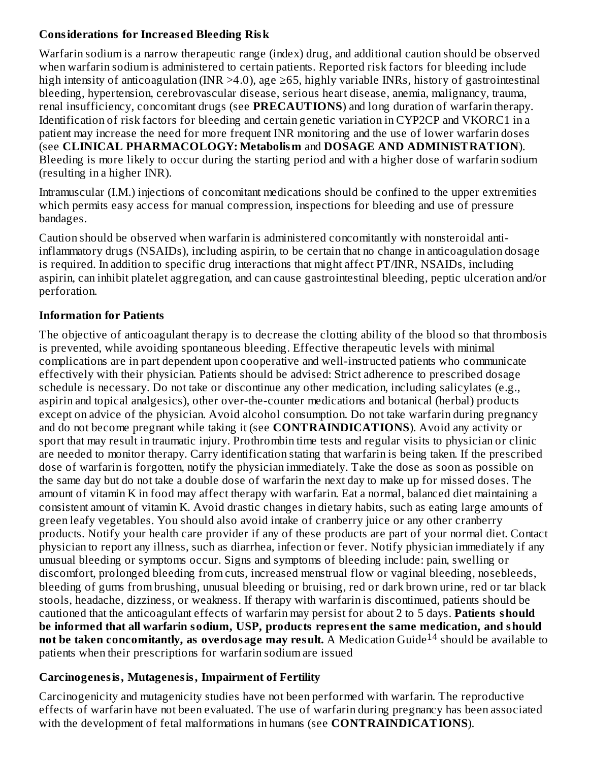### **Considerations for Increas ed Bleeding Risk**

Warfarin sodium is a narrow therapeutic range (index) drug, and additional caution should be observed when warfarin sodium is administered to certain patients. Reported risk factors for bleeding include high intensity of anticoagulation (INR >4.0), age ≥65, highly variable INRs, history of gastrointestinal bleeding, hypertension, cerebrovascular disease, serious heart disease, anemia, malignancy, trauma, renal insufficiency, concomitant drugs (see **PRECAUTIONS**) and long duration of warfarin therapy. Identification of risk factors for bleeding and certain genetic variation in CYP2CP and VKORC1 in a patient may increase the need for more frequent INR monitoring and the use of lower warfarin doses (see **CLINICAL PHARMACOLOGY: Metabolism** and **DOSAGE AND ADMINISTRATION**). Bleeding is more likely to occur during the starting period and with a higher dose of warfarin sodium (resulting in a higher INR).

Intramuscular (I.M.) injections of concomitant medications should be confined to the upper extremities which permits easy access for manual compression, inspections for bleeding and use of pressure bandages.

Caution should be observed when warfarin is administered concomitantly with nonsteroidal antiinflammatory drugs (NSAIDs), including aspirin, to be certain that no change in anticoagulation dosage is required. In addition to specific drug interactions that might affect PT/INR, NSAIDs, including aspirin, can inhibit platelet aggregation, and can cause gastrointestinal bleeding, peptic ulceration and/or perforation.

## **Information for Patients**

The objective of anticoagulant therapy is to decrease the clotting ability of the blood so that thrombosis is prevented, while avoiding spontaneous bleeding. Effective therapeutic levels with minimal complications are in part dependent upon cooperative and well-instructed patients who communicate effectively with their physician. Patients should be advised: Strict adherence to prescribed dosage schedule is necessary. Do not take or discontinue any other medication, including salicylates (e.g., aspirin and topical analgesics), other over-the-counter medications and botanical (herbal) products except on advice of the physician. Avoid alcohol consumption. Do not take warfarin during pregnancy and do not become pregnant while taking it (see **CONTRAINDICATIONS**). Avoid any activity or sport that may result in traumatic injury. Prothrombin time tests and regular visits to physician or clinic are needed to monitor therapy. Carry identification stating that warfarin is being taken. If the prescribed dose of warfarin is forgotten, notify the physician immediately. Take the dose as soon as possible on the same day but do not take a double dose of warfarin the next day to make up for missed doses. The amount of vitamin K in food may affect therapy with warfarin. Eat a normal, balanced diet maintaining a consistent amount of vitamin K. Avoid drastic changes in dietary habits, such as eating large amounts of green leafy vegetables. You should also avoid intake of cranberry juice or any other cranberry products. Notify your health care provider if any of these products are part of your normal diet. Contact physician to report any illness, such as diarrhea, infection or fever. Notify physician immediately if any unusual bleeding or symptoms occur. Signs and symptoms of bleeding include: pain, swelling or discomfort, prolonged bleeding from cuts, increased menstrual flow or vaginal bleeding, nosebleeds, bleeding of gums from brushing, unusual bleeding or bruising, red or dark brown urine, red or tar black stools, headache, dizziness, or weakness. If therapy with warfarin is discontinued, patients should be cautioned that the anticoagulant effects of warfarin may persist for about 2 to 5 days. **Patients should be informed that all warfarin sodium, USP, products repres ent the same medication, and should not be taken concomitantly, as overdosage may result.** A Medication Guide<sup>14</sup> should be available to patients when their prescriptions for warfarin sodium are issued

## **Carcinogenesis, Mutagenesis, Impairment of Fertility**

Carcinogenicity and mutagenicity studies have not been performed with warfarin. The reproductive effects of warfarin have not been evaluated. The use of warfarin during pregnancy has been associated with the development of fetal malformations in humans (see **CONTRAINDICATIONS**).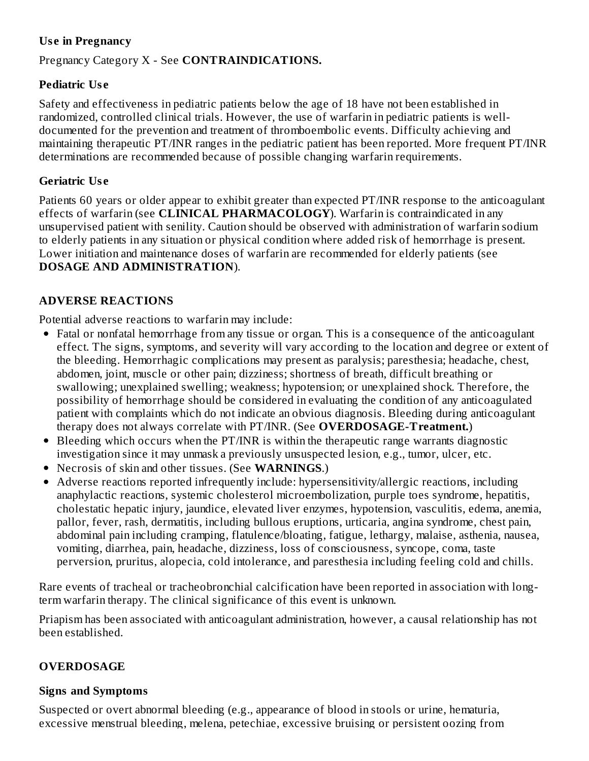### **Us e in Pregnancy**

Pregnancy Category X - See **CONTRAINDICATIONS.**

### **Pediatric Us e**

Safety and effectiveness in pediatric patients below the age of 18 have not been established in randomized, controlled clinical trials. However, the use of warfarin in pediatric patients is welldocumented for the prevention and treatment of thromboembolic events. Difficulty achieving and maintaining therapeutic PT/INR ranges in the pediatric patient has been reported. More frequent PT/INR determinations are recommended because of possible changing warfarin requirements.

#### **Geriatric Us e**

Patients 60 years or older appear to exhibit greater than expected PT/INR response to the anticoagulant effects of warfarin (see **CLINICAL PHARMACOLOGY**). Warfarin is contraindicated in any unsupervised patient with senility. Caution should be observed with administration of warfarin sodium to elderly patients in any situation or physical condition where added risk of hemorrhage is present. Lower initiation and maintenance doses of warfarin are recommended for elderly patients (see **DOSAGE AND ADMINISTRATION**).

## **ADVERSE REACTIONS**

Potential adverse reactions to warfarin may include:

- Fatal or nonfatal hemorrhage from any tissue or organ. This is a consequence of the anticoagulant effect. The signs, symptoms, and severity will vary according to the location and degree or extent of the bleeding. Hemorrhagic complications may present as paralysis; paresthesia; headache, chest, abdomen, joint, muscle or other pain; dizziness; shortness of breath, difficult breathing or swallowing; unexplained swelling; weakness; hypotension; or unexplained shock. Therefore, the possibility of hemorrhage should be considered in evaluating the condition of any anticoagulated patient with complaints which do not indicate an obvious diagnosis. Bleeding during anticoagulant therapy does not always correlate with PT/INR. (See **OVERDOSAGE-Treatment.**)
- Bleeding which occurs when the PT/INR is within the therapeutic range warrants diagnostic investigation since it may unmask a previously unsuspected lesion, e.g., tumor, ulcer, etc.
- Necrosis of skin and other tissues. (See **WARNINGS**.)
- Adverse reactions reported infrequently include: hypersensitivity/allergic reactions, including anaphylactic reactions, systemic cholesterol microembolization, purple toes syndrome, hepatitis, cholestatic hepatic injury, jaundice, elevated liver enzymes, hypotension, vasculitis, edema, anemia, pallor, fever, rash, dermatitis, including bullous eruptions, urticaria, angina syndrome, chest pain, abdominal pain including cramping, flatulence/bloating, fatigue, lethargy, malaise, asthenia, nausea, vomiting, diarrhea, pain, headache, dizziness, loss of consciousness, syncope, coma, taste perversion, pruritus, alopecia, cold intolerance, and paresthesia including feeling cold and chills.

Rare events of tracheal or tracheobronchial calcification have been reported in association with longterm warfarin therapy. The clinical significance of this event is unknown.

Priapism has been associated with anticoagulant administration, however, a causal relationship has not been established.

## **OVERDOSAGE**

#### **Signs and Symptoms**

Suspected or overt abnormal bleeding (e.g., appearance of blood in stools or urine, hematuria, excessive menstrual bleeding, melena, petechiae, excessive bruising or persistent oozing from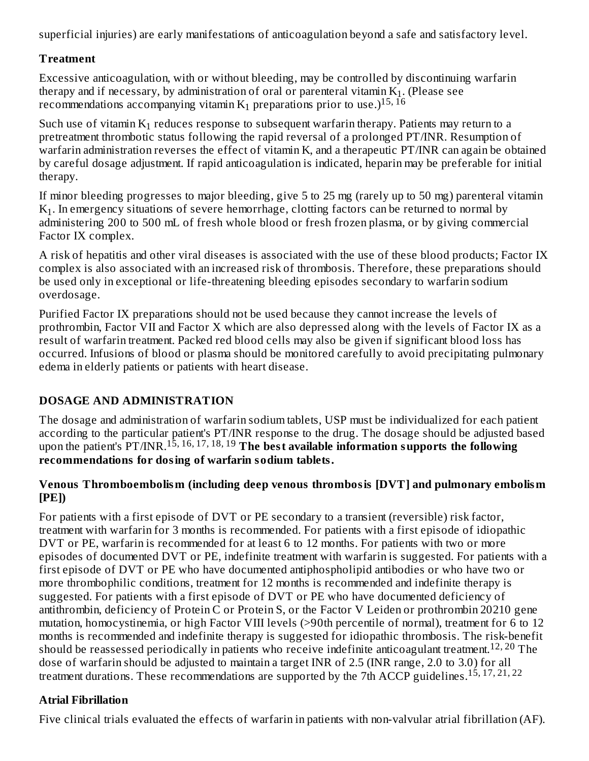superficial injuries) are early manifestations of anticoagulation beyond a safe and satisfactory level.

### **Treatment**

Excessive anticoagulation, with or without bleeding, may be controlled by discontinuing warfarin therapy and if necessary, by administration of oral or parenteral vitamin  $K_1$ . (Please see recommendations accompanying vitamin  $K_1$  preparations prior to use.)<sup>15, 16</sup>

Such use of vitamin  $\mathrm{K}_1$  reduces response to subsequent warfarin therapy. Patients may return to a pretreatment thrombotic status following the rapid reversal of a prolonged PT/INR. Resumption of warfarin administration reverses the effect of vitamin K, and a therapeutic PT/INR can again be obtained by careful dosage adjustment. If rapid anticoagulation is indicated, heparin may be preferable for initial therapy.

If minor bleeding progresses to major bleeding, give 5 to 25 mg (rarely up to 50 mg) parenteral vitamin  $\mathrm{K}_1.$  In emergency situations of severe hemorrhage, clotting factors can be returned to normal by administering 200 to 500 mL of fresh whole blood or fresh frozen plasma, or by giving commercial Factor IX complex.

A risk of hepatitis and other viral diseases is associated with the use of these blood products; Factor IX complex is also associated with an increased risk of thrombosis. Therefore, these preparations should be used only in exceptional or life-threatening bleeding episodes secondary to warfarin sodium overdosage.

Purified Factor IX preparations should not be used because they cannot increase the levels of prothrombin, Factor VII and Factor X which are also depressed along with the levels of Factor IX as a result of warfarin treatment. Packed red blood cells may also be given if significant blood loss has occurred. Infusions of blood or plasma should be monitored carefully to avoid precipitating pulmonary edema in elderly patients or patients with heart disease.

## **DOSAGE AND ADMINISTRATION**

The dosage and administration of warfarin sodium tablets, USP must be individualized for each patient according to the particular patient's PT/INR response to the drug. The dosage should be adjusted based upon the patient's PT/INR.<sup>15, 16, 17, 18, 19</sup> The best available information supports the following **recommendations for dosing of warfarin sodium tablets.**

#### **Venous Thromboembolism (including deep venous thrombosis [DVT] and pulmonary embolism [PE])**

For patients with a first episode of DVT or PE secondary to a transient (reversible) risk factor, treatment with warfarin for 3 months is recommended. For patients with a first episode of idiopathic DVT or PE, warfarin is recommended for at least 6 to 12 months. For patients with two or more episodes of documented DVT or PE, indefinite treatment with warfarin is suggested. For patients with a first episode of DVT or PE who have documented antiphospholipid antibodies or who have two or more thrombophilic conditions, treatment for 12 months is recommended and indefinite therapy is suggested. For patients with a first episode of DVT or PE who have documented deficiency of antithrombin, deficiency of Protein C or Protein S, or the Factor V Leiden or prothrombin 20210 gene mutation, homocystinemia, or high Factor VIII levels (>90th percentile of normal), treatment for 6 to 12 months is recommended and indefinite therapy is suggested for idiopathic thrombosis. The risk-benefit should be reassessed periodically in patients who receive indefinite anticoagulant treatment.<sup>12, 20</sup> The dose of warfarin should be adjusted to maintain a target INR of 2.5 (INR range, 2.0 to 3.0) for all treatment durations. These recommendations are supported by the 7th ACCP guidelines.<sup>15, 17, 21, 22</sup>

## **Atrial Fibrillation**

Five clinical trials evaluated the effects of warfarin in patients with non-valvular atrial fibrillation (AF).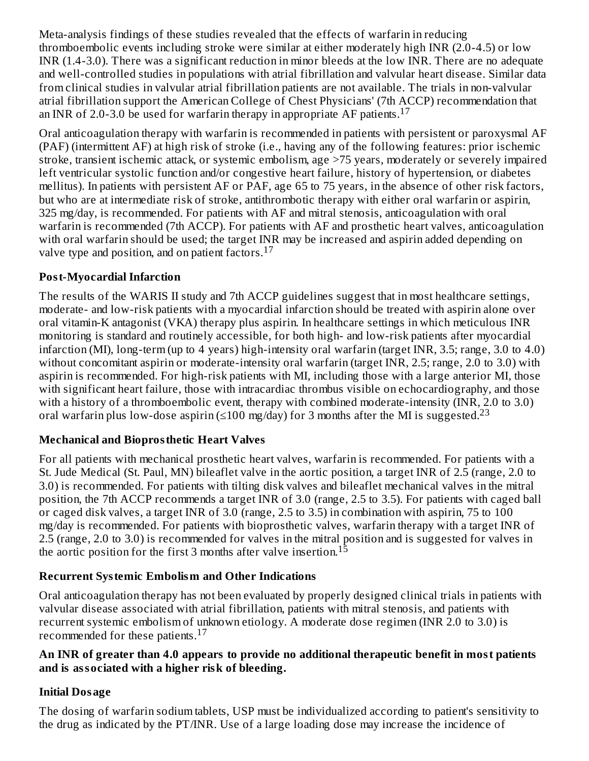Meta-analysis findings of these studies revealed that the effects of warfarin in reducing thromboembolic events including stroke were similar at either moderately high INR (2.0-4.5) or low INR (1.4-3.0). There was a significant reduction in minor bleeds at the low INR. There are no adequate and well-controlled studies in populations with atrial fibrillation and valvular heart disease. Similar data from clinical studies in valvular atrial fibrillation patients are not available. The trials in non-valvular atrial fibrillation support the American College of Chest Physicians' (7th ACCP) recommendation that an INR of 2.0-3.0 be used for warfarin therapy in appropriate AF patients.<sup>17</sup>

Oral anticoagulation therapy with warfarin is recommended in patients with persistent or paroxysmal AF (PAF) (intermittent AF) at high risk of stroke (i.e., having any of the following features: prior ischemic stroke, transient ischemic attack, or systemic embolism, age >75 years, moderately or severely impaired left ventricular systolic function and/or congestive heart failure, history of hypertension, or diabetes mellitus). In patients with persistent AF or PAF, age 65 to 75 years, in the absence of other risk factors, but who are at intermediate risk of stroke, antithrombotic therapy with either oral warfarin or aspirin, 325 mg/day, is recommended. For patients with AF and mitral stenosis, anticoagulation with oral warfarin is recommended (7th ACCP). For patients with AF and prosthetic heart valves, anticoagulation with oral warfarin should be used; the target INR may be increased and aspirin added depending on valve type and position, and on patient factors.<sup>17</sup>

### **Post-Myocardial Infarction**

The results of the WARIS II study and 7th ACCP guidelines suggest that in most healthcare settings, moderate- and low-risk patients with a myocardial infarction should be treated with aspirin alone over oral vitamin-K antagonist (VKA) therapy plus aspirin. In healthcare settings in which meticulous INR monitoring is standard and routinely accessible, for both high- and low-risk patients after myocardial infarction (MI), long-term (up to 4 years) high-intensity oral warfarin (target INR, 3.5; range, 3.0 to 4.0) without concomitant aspirin or moderate-intensity oral warfarin (target INR, 2.5; range, 2.0 to 3.0) with aspirin is recommended. For high-risk patients with MI, including those with a large anterior MI, those with significant heart failure, those with intracardiac thrombus visible on echocardiography, and those with a history of a thromboembolic event, therapy with combined moderate-intensity (INR, 2.0 to 3.0) oral warfarin plus low-dose aspirin ( $\leq 100$  mg/day) for 3 months after the MI is suggested.<sup>23</sup>

#### **Mechanical and Bioprosthetic Heart Valves**

For all patients with mechanical prosthetic heart valves, warfarin is recommended. For patients with a St. Jude Medical (St. Paul, MN) bileaflet valve in the aortic position, a target INR of 2.5 (range, 2.0 to 3.0) is recommended. For patients with tilting disk valves and bileaflet mechanical valves in the mitral position, the 7th ACCP recommends a target INR of 3.0 (range, 2.5 to 3.5). For patients with caged ball or caged disk valves, a target INR of 3.0 (range, 2.5 to 3.5) in combination with aspirin, 75 to 100 mg/day is recommended. For patients with bioprosthetic valves, warfarin therapy with a target INR of 2.5 (range, 2.0 to 3.0) is recommended for valves in the mitral position and is suggested for valves in the aortic position for the first 3 months after valve insertion.<sup>15</sup>

#### **Recurrent Systemic Embolism and Other Indications**

Oral anticoagulation therapy has not been evaluated by properly designed clinical trials in patients with valvular disease associated with atrial fibrillation, patients with mitral stenosis, and patients with recurrent systemic embolism of unknown etiology. A moderate dose regimen (INR 2.0 to 3.0) is recommended for these patients. 17

#### **An INR of greater than 4.0 appears to provide no additional therapeutic benefit in most patients and is associated with a higher risk of bleeding.**

## **Initial Dosage**

The dosing of warfarin sodium tablets, USP must be individualized according to patient's sensitivity to the drug as indicated by the PT/INR. Use of a large loading dose may increase the incidence of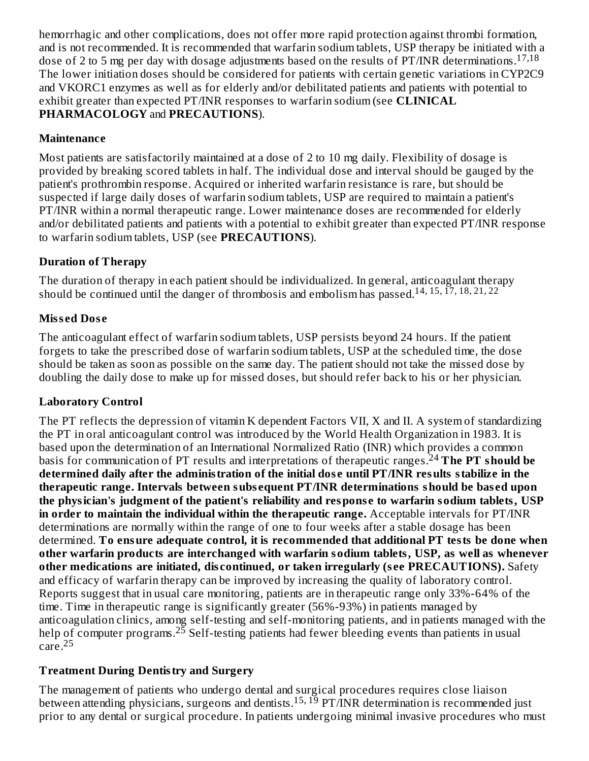hemorrhagic and other complications, does not offer more rapid protection against thrombi formation, and is not recommended. It is recommended that warfarin sodium tablets, USP therapy be initiated with a dose of 2 to 5 mg per day with dosage adjustments based on the results of PT/INR determinations.<sup>17,18</sup> The lower initiation doses should be considered for patients with certain genetic variations in CYP2C9 and VKORC1 enzymes as well as for elderly and/or debilitated patients and patients with potential to exhibit greater than expected PT/INR responses to warfarin sodium (see **CLINICAL PHARMACOLOGY** and **PRECAUTIONS**).

### **Maintenance**

Most patients are satisfactorily maintained at a dose of 2 to 10 mg daily. Flexibility of dosage is provided by breaking scored tablets in half. The individual dose and interval should be gauged by the patient's prothrombin response. Acquired or inherited warfarin resistance is rare, but should be suspected if large daily doses of warfarin sodium tablets, USP are required to maintain a patient's PT/INR within a normal therapeutic range. Lower maintenance doses are recommended for elderly and/or debilitated patients and patients with a potential to exhibit greater than expected PT/INR response to warfarin sodium tablets, USP (see **PRECAUTIONS**).

## **Duration of Therapy**

The duration of therapy in each patient should be individualized. In general, anticoagulant therapy should be continued until the danger of thrombosis and embolism has passed.<sup>14, 15, 17, 18, 21, 22</sup>

## **Miss ed Dos e**

The anticoagulant effect of warfarin sodium tablets, USP persists beyond 24 hours. If the patient forgets to take the prescribed dose of warfarin sodium tablets, USP at the scheduled time, the dose should be taken as soon as possible on the same day. The patient should not take the missed dose by doubling the daily dose to make up for missed doses, but should refer back to his or her physician.

## **Laboratory Control**

The PT reflects the depression of vitamin K dependent Factors VII, X and II. A system of standardizing the PT in oral anticoagulant control was introduced by the World Health Organization in 1983. It is based upon the determination of an International Normalized Ratio (INR) which provides a common basis for communication of PT results and interpretations of therapeutic ranges.<sup>24</sup> The PT should be **determined daily after the administration of the initial dos e until PT/INR results stabilize in the therapeutic range. Intervals between subs equent PT/INR determinations should be bas ed upon the physician's judgment of the patient's reliability and respons e to warfarin sodium tablets, USP in order to maintain the individual within the therapeutic range.** Acceptable intervals for PT/INR determinations are normally within the range of one to four weeks after a stable dosage has been determined. **To ensure adequate control, it is recommended that additional PT tests be done when other warfarin products are interchanged with warfarin sodium tablets, USP, as well as whenever other medications are initiated, dis continued, or taken irregularly (s ee PRECAUTIONS).** Safety and efficacy of warfarin therapy can be improved by increasing the quality of laboratory control. Reports suggest that in usual care monitoring, patients are in therapeutic range only 33%-64% of the time. Time in therapeutic range is significantly greater (56%-93%) in patients managed by anticoagulation clinics, among self-testing and self-monitoring patients, and in patients managed with the help of computer programs.  $25$  Self-testing patients had fewer bleeding events than patients in usual care. 25

## **Treatment During Dentistry and Surgery**

The management of patients who undergo dental and surgical procedures requires close liaison between attending physicians, surgeons and dentists.  $^{15, 19}$  PT/INR determination is recommended just prior to any dental or surgical procedure. In patients undergoing minimal invasive procedures who must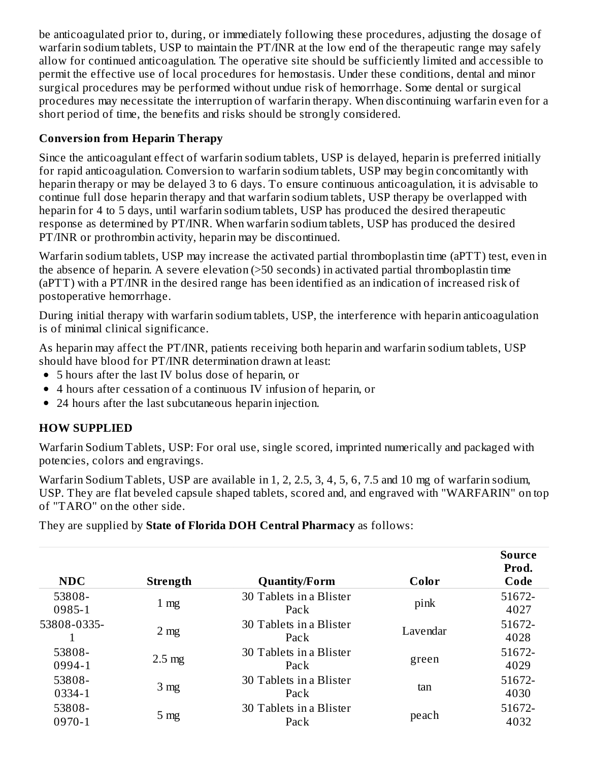be anticoagulated prior to, during, or immediately following these procedures, adjusting the dosage of warfarin sodium tablets, USP to maintain the PT/INR at the low end of the therapeutic range may safely allow for continued anticoagulation. The operative site should be sufficiently limited and accessible to permit the effective use of local procedures for hemostasis. Under these conditions, dental and minor surgical procedures may be performed without undue risk of hemorrhage. Some dental or surgical procedures may necessitate the interruption of warfarin therapy. When discontinuing warfarin even for a short period of time, the benefits and risks should be strongly considered.

## **Conversion from Heparin Therapy**

Since the anticoagulant effect of warfarin sodium tablets, USP is delayed, heparin is preferred initially for rapid anticoagulation. Conversion to warfarin sodium tablets, USP may begin concomitantly with heparin therapy or may be delayed 3 to 6 days. To ensure continuous anticoagulation, it is advisable to continue full dose heparin therapy and that warfarin sodium tablets, USP therapy be overlapped with heparin for 4 to 5 days, until warfarin sodium tablets, USP has produced the desired therapeutic response as determined by PT/INR. When warfarin sodium tablets, USP has produced the desired PT/INR or prothrombin activity, heparin may be discontinued.

Warfarin sodium tablets, USP may increase the activated partial thromboplastin time (aPTT) test, even in the absence of heparin. A severe elevation (>50 seconds) in activated partial thromboplastin time (aPTT) with a PT/INR in the desired range has been identified as an indication of increased risk of postoperative hemorrhage.

During initial therapy with warfarin sodium tablets, USP, the interference with heparin anticoagulation is of minimal clinical significance.

As heparin may affect the PT/INR, patients receiving both heparin and warfarin sodium tablets, USP should have blood for PT/INR determination drawn at least:

- 5 hours after the last IV bolus dose of heparin, or
- 4 hours after cessation of a continuous IV infusion of heparin, or
- 24 hours after the last subcutaneous heparin injection.

## **HOW SUPPLIED**

Warfarin Sodium Tablets, USP: For oral use, single scored, imprinted numerically and packaged with potencies, colors and engravings.

Warfarin Sodium Tablets, USP are available in 1, 2, 2.5, 3, 4, 5, 6, 7.5 and 10 mg of warfarin sodium, USP. They are flat beveled capsule shaped tablets, scored and, and engraved with "WARFARIN" on top of "TARO" on the other side.

They are supplied by **State of Florida DOH Central Pharmacy** as follows:

| <b>NDC</b>       | Strength         | <b>Quantity/Form</b>            | Color    | <b>Source</b><br>Prod.<br>Code |
|------------------|------------------|---------------------------------|----------|--------------------------------|
| 53808-<br>0985-1 | $1 \text{ mg}$   | 30 Tablets in a Blister<br>Pack | pink     | 51672-<br>4027                 |
| 53808-0335-      | 2 <sub>mg</sub>  | 30 Tablets in a Blister<br>Pack | Lavendar | 51672-<br>4028                 |
| 53808-<br>0994-1 | $2.5 \text{ mg}$ | 30 Tablets in a Blister<br>Pack | green    | 51672-<br>4029                 |
| 53808-<br>0334-1 | 3 <sub>mg</sub>  | 30 Tablets in a Blister<br>Pack | tan      | 51672-<br>4030                 |
| 53808-<br>0970-1 | $5 \text{ mg}$   | 30 Tablets in a Blister<br>Pack | peach    | 51672-<br>4032                 |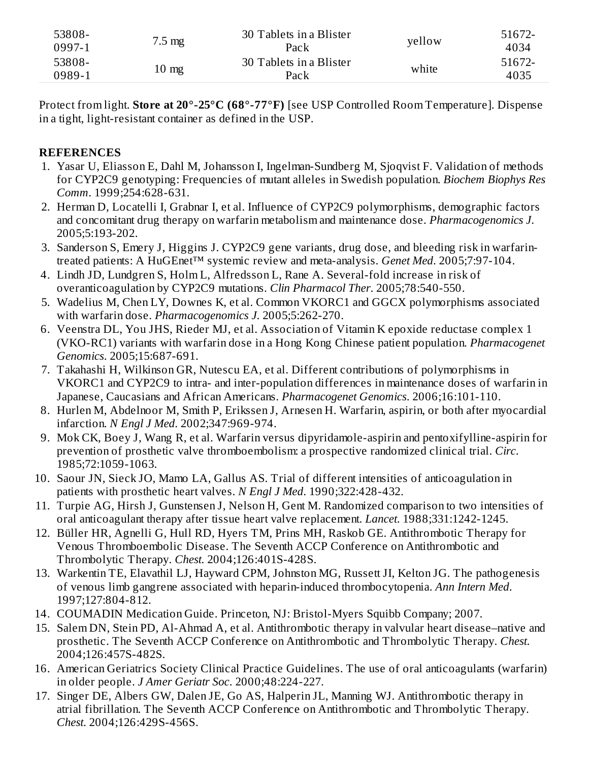| 53808-<br>0997-1 | $7.5 \text{ mg}$ | 30 Tablets in a Blister<br>Pack | yellow | 51672-<br>4034 |
|------------------|------------------|---------------------------------|--------|----------------|
| 53808-           | $10 \text{ mg}$  | 30 Tablets in a Blister         | white  | 51672-         |
| 0989-1           |                  | Pack                            |        | 4035           |

Protect from light. **Store at 20°-25°C (68°-77°F)** [see USP Controlled Room Temperature]. Dispense in a tight, light-resistant container as defined in the USP.

### **REFERENCES**

- 1. Yasar U, Eliasson E, Dahl M, Johansson I, Ingelman-Sundberg M, Sjoqvist F. Validation of methods for CYP2C9 genotyping: Frequencies of mutant alleles in Swedish population. *Biochem Biophys Res Comm*. 1999;254:628-631.
- 2. Herman D, Locatelli I, Grabnar I, et al. Influence of CYP2C9 polymorphisms, demographic factors and concomitant drug therapy on warfarin metabolism and maintenance dose. *Pharmacogenomics J*. 2005;5:193-202.
- 3. Sanderson S, Emery J, Higgins J. CYP2C9 gene variants, drug dose, and bleeding risk in warfarintreated patients: A HuGEnet™ systemic review and meta-analysis. *Genet Med*. 2005;7:97-104.
- 4. Lindh JD, Lundgren S, Holm L, Alfredsson L, Rane A. Several-fold increase in risk of overanticoagulation by CYP2C9 mutations. *Clin Pharmacol Ther*. 2005;78:540-550.
- 5. Wadelius M, Chen LY, Downes K, et al. Common VKORC1 and GGCX polymorphisms associated with warfarin dose. *Pharmacogenomics J*. 2005;5:262-270.
- 6. Veenstra DL, You JHS, Rieder MJ, et al. Association of Vitamin K epoxide reductase complex 1 (VKO-RC1) variants with warfarin dose in a Hong Kong Chinese patient population. *Pharmacogenet Genomics*. 2005;15:687-691.
- 7. Takahashi H, Wilkinson GR, Nutescu EA, et al. Different contributions of polymorphisms in VKORC1 and CYP2C9 to intra- and inter-population differences in maintenance doses of warfarin in Japanese, Caucasians and African Americans. *Pharmacogenet Genomics*. 2006;16:101-110.
- 8. Hurlen M, Abdelnoor M, Smith P, Erikssen J, Arnesen H. Warfarin, aspirin, or both after myocardial infarction. *N Engl J Med*. 2002;347:969-974.
- 9. Mok CK, Boey J, Wang R, et al. Warfarin versus dipyridamole-aspirin and pentoxifylline-aspirin for prevention of prosthetic valve thromboembolism: a prospective randomized clinical trial. *Circ*. 1985;72:1059-1063.
- 10. Saour JN, Sieck JO, Mamo LA, Gallus AS. Trial of different intensities of anticoagulation in patients with prosthetic heart valves. *N Engl J Med*. 1990;322:428-432.
- 11. Turpie AG, Hirsh J, Gunstensen J, Nelson H, Gent M. Randomized comparison to two intensities of oral anticoagulant therapy after tissue heart valve replacement. *Lancet*. 1988;331:1242-1245.
- 12. Büller HR, Agnelli G, Hull RD, Hyers TM, Prins MH, Raskob GE. Antithrombotic Therapy for Venous Thromboembolic Disease. The Seventh ACCP Conference on Antithrombotic and Thrombolytic Therapy. *Chest*. 2004;126:401S-428S.
- 13. Warkentin TE, Elavathil LJ, Hayward CPM, Johnston MG, Russett JI, Kelton JG. The pathogenesis of venous limb gangrene associated with heparin-induced thrombocytopenia. *Ann Intern Med*. 1997;127:804-812.
- 14. COUMADIN Medication Guide. Princeton, NJ: Bristol-Myers Squibb Company; 2007.
- 15. Salem DN, Stein PD, Al-Ahmad A, et al. Antithrombotic therapy in valvular heart disease–native and prosthetic. The Seventh ACCP Conference on Antithrombotic and Thrombolytic Therapy. *Chest*. 2004;126:457S-482S.
- 16. American Geriatrics Society Clinical Practice Guidelines. The use of oral anticoagulants (warfarin) in older people. *J Amer Geriatr Soc*. 2000;48:224-227.
- 17. Singer DE, Albers GW, Dalen JE, Go AS, Halperin JL, Manning WJ. Antithrombotic therapy in atrial fibrillation. The Seventh ACCP Conference on Antithrombotic and Thrombolytic Therapy. *Chest*. 2004;126:429S-456S.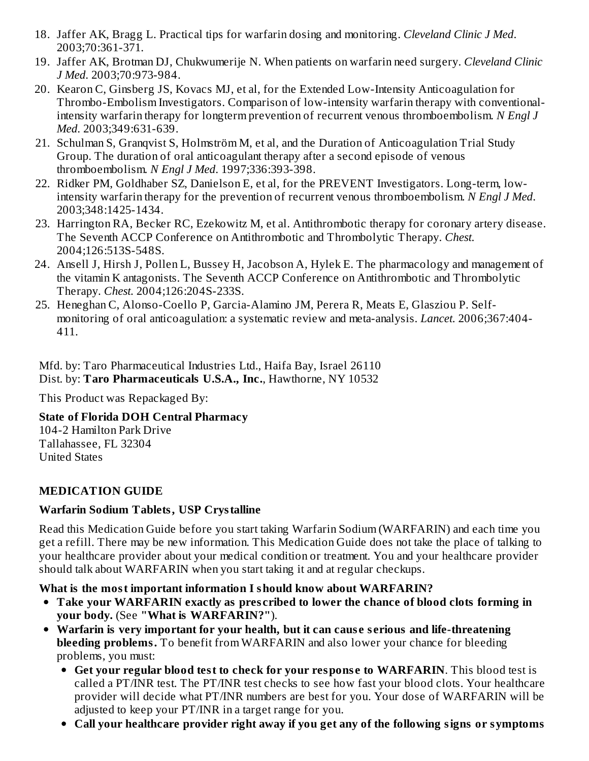- 18. Jaffer AK, Bragg L. Practical tips for warfarin dosing and monitoring. *Cleveland Clinic J Med*. 2003;70:361-371.
- 19. Jaffer AK, Brotman DJ, Chukwumerije N. When patients on warfarin need surgery. *Cleveland Clinic J Med*. 2003;70:973-984.
- 20. Kearon C, Ginsberg JS, Kovacs MJ, et al, for the Extended Low-Intensity Anticoagulation for Thrombo-Embolism Investigators. Comparison of low-intensity warfarin therapy with conventionalintensity warfarin therapy for longterm prevention of recurrent venous thromboembolism. *N Engl J Med*. 2003;349:631-639.
- 21. Schulman S, Granqvist S, Holmström M, et al, and the Duration of Anticoagulation Trial Study Group. The duration of oral anticoagulant therapy after a second episode of venous thromboembolism. *N Engl J Med*. 1997;336:393-398.
- 22. Ridker PM, Goldhaber SZ, Danielson E, et al, for the PREVENT Investigators. Long-term, lowintensity warfarin therapy for the prevention of recurrent venous thromboembolism. *N Engl J Med*. 2003;348:1425-1434.
- 23. Harrington RA, Becker RC, Ezekowitz M, et al. Antithrombotic therapy for coronary artery disease. The Seventh ACCP Conference on Antithrombotic and Thrombolytic Therapy. *Chest*. 2004;126:513S-548S.
- 24. Ansell J, Hirsh J, Pollen L, Bussey H, Jacobson A, Hylek E. The pharmacology and management of the vitamin K antagonists. The Seventh ACCP Conference on Antithrombotic and Thrombolytic Therapy. *Chest*. 2004;126:204S-233S.
- 25. Heneghan C, Alonso-Coello P, Garcia-Alamino JM, Perera R, Meats E, Glasziou P. Selfmonitoring of oral anticoagulation: a systematic review and meta-analysis. *Lancet*. 2006;367:404- 411.

Mfd. by: Taro Pharmaceutical Industries Ltd., Haifa Bay, Israel 26110 Dist. by: **Taro Pharmaceuticals U.S.A., Inc.**, Hawthorne, NY 10532

This Product was Repackaged By:

## **State of Florida DOH Central Pharmacy**

104-2 Hamilton Park Drive Tallahassee, FL 32304 United States

## **MEDICATION GUIDE**

#### **Warfarin Sodium Tablets, USP Crystalline**

Read this Medication Guide before you start taking Warfarin Sodium (WARFARIN) and each time you get a refill. There may be new information. This Medication Guide does not take the place of talking to your healthcare provider about your medical condition or treatment. You and your healthcare provider should talk about WARFARIN when you start taking it and at regular checkups.

#### **What is the most important information I should know about WARFARIN?**

- **Take your WARFARIN exactly as pres cribed to lower the chance of blood clots forming in your body.** (See **"What is WARFARIN?"**).
- **Warfarin is very important for your health, but it can caus e s erious and life-threatening bleeding problems.** To benefit from WARFARIN and also lower your chance for bleeding problems, you must:
	- **Get your regular blood test to check for your respons e to WARFARIN**. This blood test is called a PT/INR test. The PT/INR test checks to see how fast your blood clots. Your healthcare provider will decide what PT/INR numbers are best for you. Your dose of WARFARIN will be adjusted to keep your PT/INR in a target range for you.
	- **Call your healthcare provider right away if you get any of the following signs or symptoms**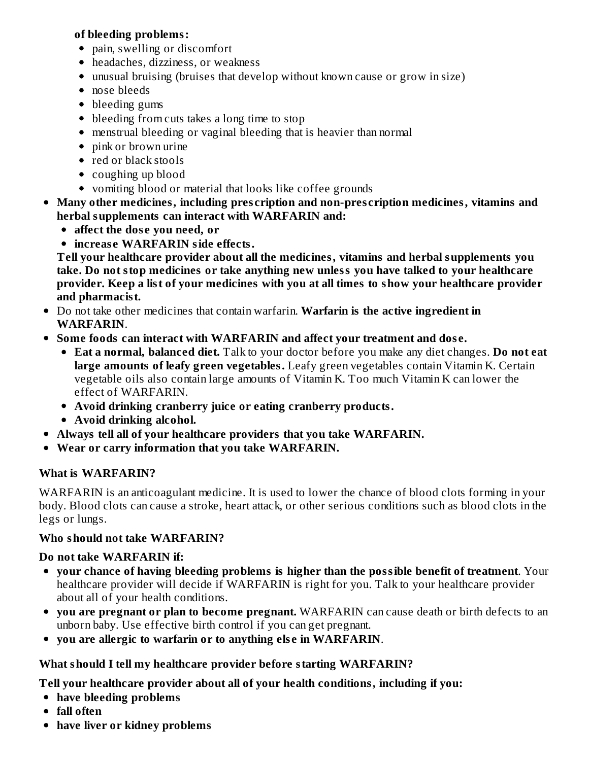#### **of bleeding problems:**

- pain, swelling or discomfort
- headaches, dizziness, or weakness
- unusual bruising (bruises that develop without known cause or grow in size)
- nose bleeds
- bleeding gums
- bleeding from cuts takes a long time to stop
- menstrual bleeding or vaginal bleeding that is heavier than normal
- pink or brown urine
- red or black stools
- coughing up blood
- vomiting blood or material that looks like coffee grounds
- **Many other medicines, including pres cription and non-pres cription medicines, vitamins and herbal supplements can interact with WARFARIN and:**
	- **affect the dos e you need, or**
	- **increas e WARFARIN side effects.**

**Tell your healthcare provider about all the medicines, vitamins and herbal supplements you take. Do not stop medicines or take anything new unless you have talked to your healthcare provider. Keep a list of your medicines with you at all times to show your healthcare provider and pharmacist.**

- Do not take other medicines that contain warfarin. **Warfarin is the active ingredient in WARFARIN**.
- **Some foods can interact with WARFARIN and affect your treatment and dos e.**
	- **Eat a normal, balanced diet.** Talk to your doctor before you make any diet changes. **Do not eat large amounts of leafy green vegetables.** Leafy green vegetables contain Vitamin K. Certain vegetable oils also contain large amounts of Vitamin K. Too much Vitamin K can lower the effect of WARFARIN.
	- **Avoid drinking cranberry juice or eating cranberry products.**
	- **Avoid drinking alcohol.**
- **Always tell all of your healthcare providers that you take WARFARIN.**
- **Wear or carry information that you take WARFARIN.**

## **What is WARFARIN?**

WARFARIN is an anticoagulant medicine. It is used to lower the chance of blood clots forming in your body. Blood clots can cause a stroke, heart attack, or other serious conditions such as blood clots in the legs or lungs.

#### **Who should not take WARFARIN?**

#### **Do not take WARFARIN if:**

- **your chance of having bleeding problems is higher than the possible benefit of treatment**. Your healthcare provider will decide if WARFARIN is right for you. Talk to your healthcare provider about all of your health conditions.
- **you are pregnant or plan to become pregnant.** WARFARIN can cause death or birth defects to an unborn baby. Use effective birth control if you can get pregnant.
- **you are allergic to warfarin or to anything els e in WARFARIN**.

#### **What should I tell my healthcare provider before starting WARFARIN?**

**Tell your healthcare provider about all of your health conditions, including if you:**

- **have bleeding problems**
- **fall often**
- **have liver or kidney problems**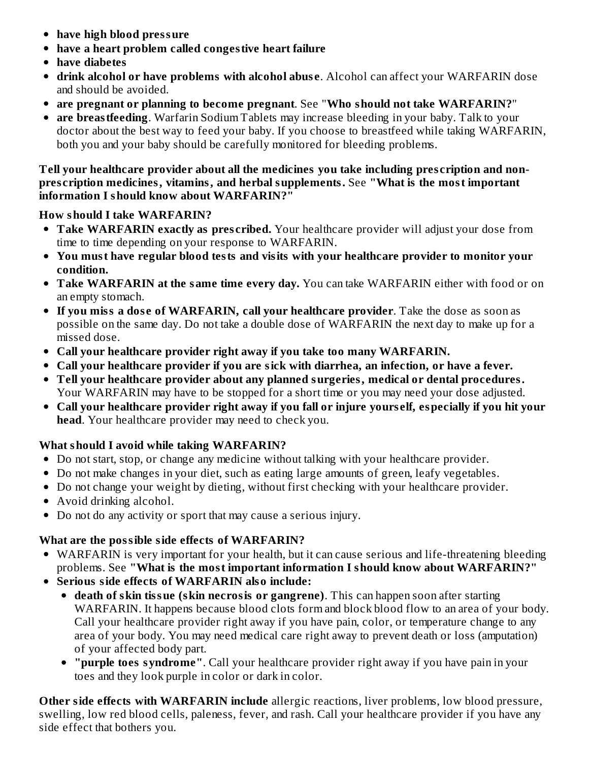- **have high blood pressure**
- **have a heart problem called congestive heart failure**
- **have diabetes**
- **drink alcohol or have problems with alcohol abus e**. Alcohol can affect your WARFARIN dose and should be avoided.
- **are pregnant or planning to become pregnant**. See "**Who should not take WARFARIN?**"
- **are breastfeeding**. Warfarin Sodium Tablets may increase bleeding in your baby. Talk to your  $\bullet$ doctor about the best way to feed your baby. If you choose to breastfeed while taking WARFARIN, both you and your baby should be carefully monitored for bleeding problems.

#### **Tell your healthcare provider about all the medicines you take including pres cription and nonpres cription medicines, vitamins, and herbal supplements.** See **"What is the most important information I should know about WARFARIN?"**

## **How should I take WARFARIN?**

- **Take WARFARIN exactly as pres cribed.** Your healthcare provider will adjust your dose from time to time depending on your response to WARFARIN.
- **You must have regular blood tests and visits with your healthcare provider to monitor your condition.**
- **Take WARFARIN at the same time every day.** You can take WARFARIN either with food or on an empty stomach.
- **If you miss a dos e of WARFARIN, call your healthcare provider**. Take the dose as soon as possible on the same day. Do not take a double dose of WARFARIN the next day to make up for a missed dose.
- **Call your healthcare provider right away if you take too many WARFARIN.**
- **Call your healthcare provider if you are sick with diarrhea, an infection, or have a fever.**
- **Tell your healthcare provider about any planned surgeries, medical or dental procedures.** Your WARFARIN may have to be stopped for a short time or you may need your dose adjusted.
- Call your healthcare provider right away if you fall or injure yourself, especially if you hit your **head**. Your healthcare provider may need to check you.

## **What should I avoid while taking WARFARIN?**

- Do not start, stop, or change any medicine without talking with your healthcare provider.
- Do not make changes in your diet, such as eating large amounts of green, leafy vegetables.
- Do not change your weight by dieting, without first checking with your healthcare provider.
- Avoid drinking alcohol.
- Do not do any activity or sport that may cause a serious injury.

# **What are the possible side effects of WARFARIN?**

- WARFARIN is very important for your health, but it can cause serious and life-threatening bleeding problems. See **"What is the most important information I should know about WARFARIN?"**
- **Serious side effects of WARFARIN also include:**
	- **death of skin tissue (skin necrosis or gangrene)**. This can happen soon after starting WARFARIN. It happens because blood clots form and block blood flow to an area of your body. Call your healthcare provider right away if you have pain, color, or temperature change to any area of your body. You may need medical care right away to prevent death or loss (amputation) of your affected body part.
	- **"purple toes syndrome"**. Call your healthcare provider right away if you have pain in your toes and they look purple in color or dark in color.

**Other side effects with WARFARIN include** allergic reactions, liver problems, low blood pressure, swelling, low red blood cells, paleness, fever, and rash. Call your healthcare provider if you have any side effect that bothers you.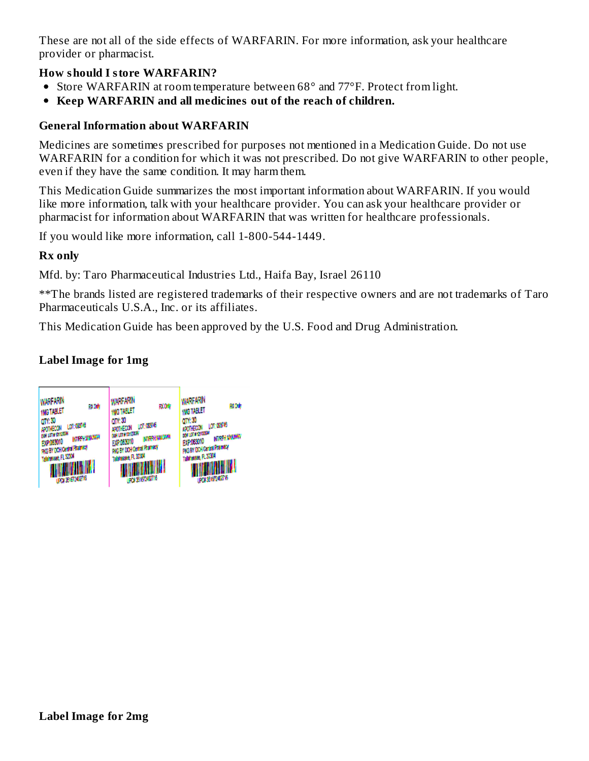These are not all of the side effects of WARFARIN. For more information, ask your healthcare provider or pharmacist.

#### **How should I store WARFARIN?**

- Store WARFARIN at room temperature between 68° and 77°F. Protect from light.
- **Keep WARFARIN and all medicines out of the reach of children.**

#### **General Information about WARFARIN**

Medicines are sometimes prescribed for purposes not mentioned in a Medication Guide. Do not use WARFARIN for a condition for which it was not prescribed. Do not give WARFARIN to other people, even if they have the same condition. It may harm them.

This Medication Guide summarizes the most important information about WARFARIN. If you would like more information, talk with your healthcare provider. You can ask your healthcare provider or pharmacist for information about WARFARIN that was written for healthcare professionals.

If you would like more information, call 1-800-544-1449.

#### **Rx only**

Mfd. by: Taro Pharmaceutical Industries Ltd., Haifa Bay, Israel 26110

\*\*The brands listed are registered trademarks of their respective owners and are not trademarks of Taro Pharmaceuticals U.S.A., Inc. or its affiliates.

This Medication Guide has been approved by the U.S. Food and Drug Administration.

#### **Label Image for 1mg**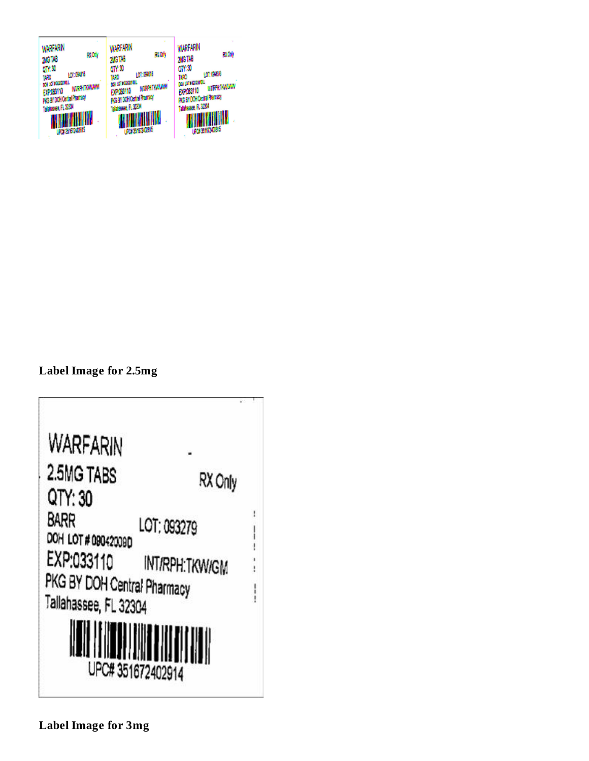## **Label Image for 2.5mg**

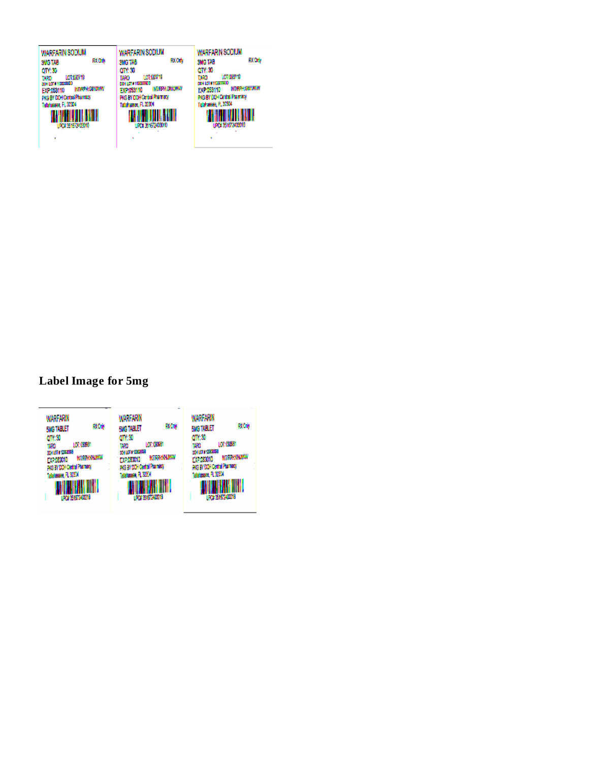**Label Image for 5mg**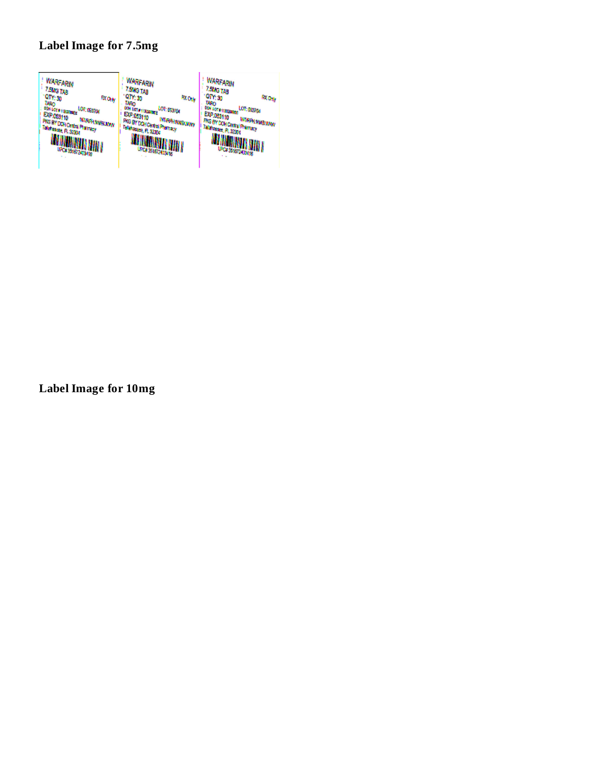**Label Image for 7.5mg**

**Label Image for 10mg**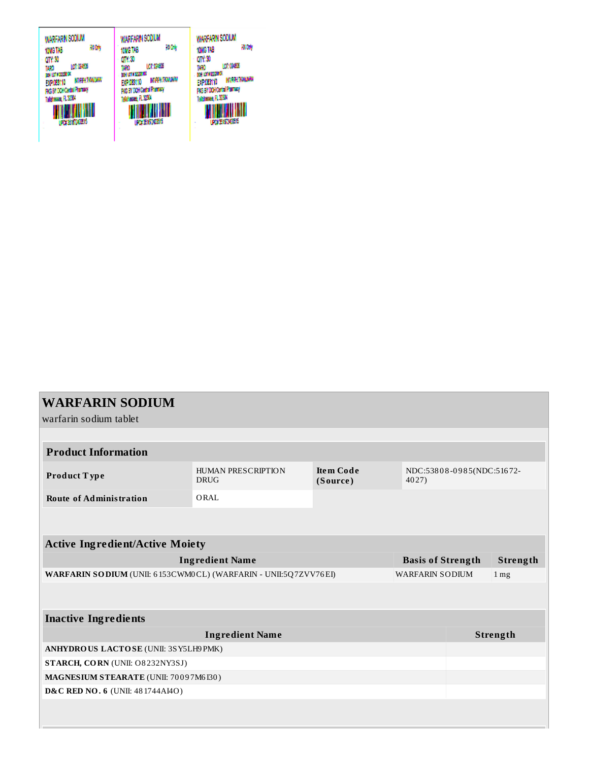| <b>WARFARIN SODIUM</b>                                          |                                          |                              |                          |                           |                 |
|-----------------------------------------------------------------|------------------------------------------|------------------------------|--------------------------|---------------------------|-----------------|
| warfarin sodium tablet                                          |                                          |                              |                          |                           |                 |
|                                                                 |                                          |                              |                          |                           |                 |
| <b>Product Information</b>                                      |                                          |                              |                          |                           |                 |
| Product Type                                                    | <b>HUMAN PRESCRIPTION</b><br><b>DRUG</b> | <b>Item Code</b><br>(Source) | 4027)                    | NDC:53808-0985(NDC:51672- |                 |
| <b>Route of Administration</b>                                  | ORAL                                     |                              |                          |                           |                 |
|                                                                 |                                          |                              |                          |                           |                 |
| <b>Active Ingredient/Active Moiety</b>                          |                                          |                              |                          |                           |                 |
|                                                                 | <b>Ingredient Name</b>                   |                              | <b>Basis of Strength</b> |                           | Strength        |
| WARFARIN SODIUM (UNII: 6153CWM0CL) (WARFARIN - UNII:5Q7ZVV76EI) |                                          |                              | <b>WARFARIN SODIUM</b>   |                           | 1 <sub>mg</sub> |
|                                                                 |                                          |                              |                          |                           |                 |
| <b>Inactive Ingredients</b>                                     |                                          |                              |                          |                           |                 |
|                                                                 | <b>Ingredient Name</b>                   |                              |                          |                           | Strength        |
| ANHYDROUS LACTOSE (UNII: 3SY5LH9 PMK)                           |                                          |                              |                          |                           |                 |
| STARCH, CORN (UNII: O8232NY3SJ)                                 |                                          |                              |                          |                           |                 |
| MAGNESIUM STEARATE (UNII: 70097M6I30)                           |                                          |                              |                          |                           |                 |
| <b>D&amp;C RED NO.6</b> (UNII: 481744AI4O)                      |                                          |                              |                          |                           |                 |
|                                                                 |                                          |                              |                          |                           |                 |
|                                                                 |                                          |                              |                          |                           |                 |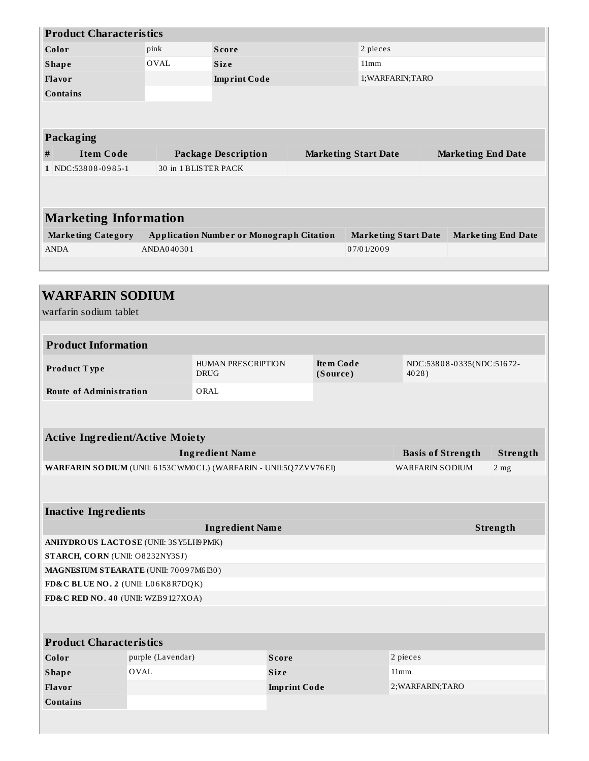| <b>Product Characteristics</b>                                   |                   |                                                 |                     |                              |                             |                             |                           |                           |
|------------------------------------------------------------------|-------------------|-------------------------------------------------|---------------------|------------------------------|-----------------------------|-----------------------------|---------------------------|---------------------------|
| Color                                                            | pink              | <b>Score</b>                                    |                     |                              | 2 pieces                    |                             |                           |                           |
| <b>Shape</b>                                                     | <b>OVAL</b>       | <b>Size</b>                                     |                     |                              | 11mm                        |                             |                           |                           |
| Flavor                                                           |                   | <b>Imprint Code</b>                             |                     |                              |                             | 1;WARFARIN;TARO             |                           |                           |
| <b>Contains</b>                                                  |                   |                                                 |                     |                              |                             |                             |                           |                           |
|                                                                  |                   |                                                 |                     |                              |                             |                             |                           |                           |
| Packaging                                                        |                   |                                                 |                     |                              |                             |                             |                           |                           |
| <b>Item Code</b><br>#                                            |                   | <b>Package Description</b>                      |                     |                              | <b>Marketing Start Date</b> |                             | <b>Marketing End Date</b> |                           |
| 1 NDC:53808-0985-1                                               |                   | 30 in 1 BLISTER PACK                            |                     |                              |                             |                             |                           |                           |
|                                                                  |                   |                                                 |                     |                              |                             |                             |                           |                           |
| <b>Marketing Information</b>                                     |                   |                                                 |                     |                              |                             |                             |                           |                           |
| <b>Marketing Category</b>                                        |                   | <b>Application Number or Monograph Citation</b> |                     |                              |                             | <b>Marketing Start Date</b> |                           | <b>Marketing End Date</b> |
| <b>ANDA</b>                                                      | ANDA040301        |                                                 |                     |                              | 07/01/2009                  |                             |                           |                           |
|                                                                  |                   |                                                 |                     |                              |                             |                             |                           |                           |
| <b>WARFARIN SODIUM</b>                                           |                   |                                                 |                     |                              |                             |                             |                           |                           |
|                                                                  |                   |                                                 |                     |                              |                             |                             |                           |                           |
| warfarin sodium tablet                                           |                   |                                                 |                     |                              |                             |                             |                           |                           |
|                                                                  |                   |                                                 |                     |                              |                             |                             |                           |                           |
| <b>Product Information</b>                                       |                   |                                                 |                     |                              |                             |                             |                           |                           |
| Product Type                                                     |                   | <b>HUMAN PRESCRIPTION</b><br><b>DRUG</b>        |                     | <b>Item Code</b><br>(Source) |                             | 4028)                       | NDC:53808-0335(NDC:51672- |                           |
| <b>Route of Administration</b>                                   |                   | ORAL                                            |                     |                              |                             |                             |                           |                           |
|                                                                  |                   |                                                 |                     |                              |                             |                             |                           |                           |
|                                                                  |                   |                                                 |                     |                              |                             |                             |                           |                           |
| <b>Active Ingredient/Active Moiety</b>                           |                   |                                                 |                     |                              |                             |                             |                           |                           |
|                                                                  |                   | <b>Ingredient Name</b>                          |                     |                              |                             | <b>Basis of Strength</b>    |                           | Strength                  |
| WARFARIN SO DIUM (UNII: 6153CWM0CL) (WARFARIN - UNII:5Q7ZVV76EI) |                   |                                                 |                     |                              |                             | WARFARIN SODIUM             |                           | $2$ mg                    |
|                                                                  |                   |                                                 |                     |                              |                             |                             |                           |                           |
| <b>Inactive Ingredients</b>                                      |                   |                                                 |                     |                              |                             |                             |                           |                           |
|                                                                  |                   | <b>Ingredient Name</b>                          |                     |                              |                             |                             |                           | Strength                  |
| ANHYDROUS LACTOSE (UNII: 3SY5LH9 PMK)                            |                   |                                                 |                     |                              |                             |                             |                           |                           |
| STARCH, CORN (UNII: O8232NY3SJ)                                  |                   |                                                 |                     |                              |                             |                             |                           |                           |
| MAGNESIUM STEARATE (UNII: 70097M6I30)                            |                   |                                                 |                     |                              |                             |                             |                           |                           |
| FD&C BLUE NO. 2 (UNII: L06K8R7DQK)                               |                   |                                                 |                     |                              |                             |                             |                           |                           |
| FD&C RED NO. 40 (UNII: WZB9127XOA)                               |                   |                                                 |                     |                              |                             |                             |                           |                           |
|                                                                  |                   |                                                 |                     |                              |                             |                             |                           |                           |
| <b>Product Characteristics</b>                                   |                   |                                                 |                     |                              |                             |                             |                           |                           |
| Color                                                            | purple (Lavendar) | <b>Score</b>                                    |                     |                              |                             | 2 pieces                    |                           |                           |
| <b>Shape</b>                                                     | <b>OVAL</b>       | Size                                            |                     |                              |                             | 11mm                        |                           |                           |
| Flavor                                                           |                   |                                                 | <b>Imprint Code</b> |                              |                             | 2; WARFARIN; TARO           |                           |                           |
| <b>Contains</b>                                                  |                   |                                                 |                     |                              |                             |                             |                           |                           |
|                                                                  |                   |                                                 |                     |                              |                             |                             |                           |                           |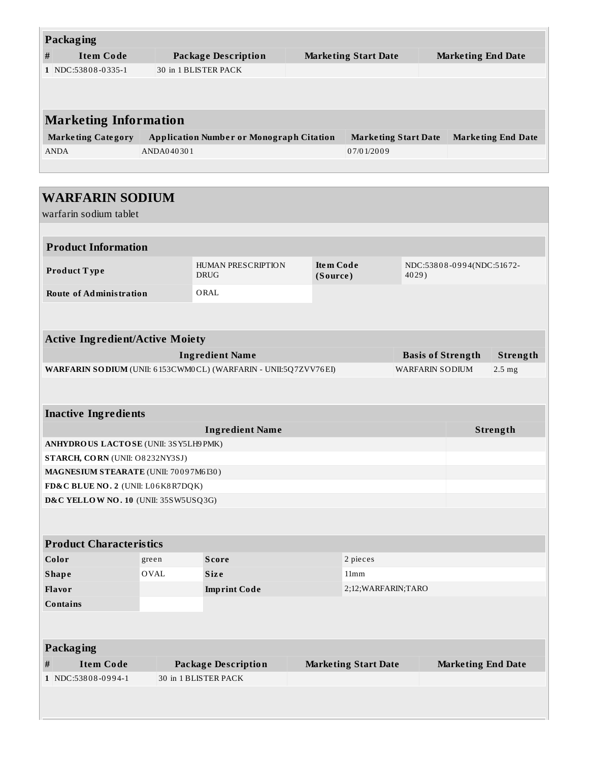| Packaging                                                        |             |                                                 |                             |                             |                           |                           |  |
|------------------------------------------------------------------|-------------|-------------------------------------------------|-----------------------------|-----------------------------|---------------------------|---------------------------|--|
| <b>Item Code</b><br>$\#$                                         |             | <b>Package Description</b>                      | <b>Marketing Start Date</b> |                             | <b>Marketing End Date</b> |                           |  |
| 1 NDC:53808-0335-1                                               |             | 30 in 1 BLISTER PACK                            |                             |                             |                           |                           |  |
|                                                                  |             |                                                 |                             |                             |                           |                           |  |
|                                                                  |             |                                                 |                             |                             |                           |                           |  |
| <b>Marketing Information</b>                                     |             |                                                 |                             |                             |                           |                           |  |
| <b>Marketing Category</b>                                        |             | <b>Application Number or Monograph Citation</b> |                             | <b>Marketing Start Date</b> |                           | <b>Marketing End Date</b> |  |
| <b>ANDA</b>                                                      | ANDA040301  |                                                 | 07/01/2009                  |                             |                           |                           |  |
|                                                                  |             |                                                 |                             |                             |                           |                           |  |
| <b>WARFARIN SODIUM</b>                                           |             |                                                 |                             |                             |                           |                           |  |
| warfarin sodium tablet                                           |             |                                                 |                             |                             |                           |                           |  |
|                                                                  |             |                                                 |                             |                             |                           |                           |  |
| <b>Product Information</b>                                       |             |                                                 |                             |                             |                           |                           |  |
| Product Type                                                     |             | HUMAN PRESCRIPTION                              | <b>Item Code</b>            |                             |                           | NDC:53808-0994(NDC:51672- |  |
|                                                                  |             | <b>DRUG</b>                                     | (Source)                    | 4029)                       |                           |                           |  |
| <b>Route of Administration</b>                                   |             | ORAL                                            |                             |                             |                           |                           |  |
|                                                                  |             |                                                 |                             |                             |                           |                           |  |
| <b>Active Ingredient/Active Moiety</b>                           |             |                                                 |                             |                             |                           |                           |  |
|                                                                  |             | <b>Ingredient Name</b>                          |                             |                             | <b>Basis of Strength</b>  | Strength                  |  |
| WARFARIN SO DIUM (UNII: 6153CWM0CL) (WARFARIN - UNII:5Q7ZVV76EI) |             |                                                 |                             |                             | <b>WARFARIN SODIUM</b>    | $2.5 \text{ mg}$          |  |
|                                                                  |             |                                                 |                             |                             |                           |                           |  |
|                                                                  |             |                                                 |                             |                             |                           |                           |  |
| <b>Inactive Ingredients</b>                                      |             |                                                 |                             |                             |                           |                           |  |
|                                                                  |             | <b>Ingredient Name</b>                          |                             |                             |                           | Strength                  |  |
| ANHYDROUS LACTOSE (UNII: 3SY5LH9PMK)                             |             |                                                 |                             |                             |                           |                           |  |
| STARCH, CORN (UNII: O8232NY3SJ)                                  |             |                                                 |                             |                             |                           |                           |  |
| MAGNESIUM STEARATE (UNII: 70097M6I30)                            |             |                                                 |                             |                             |                           |                           |  |
| FD&C BLUE NO. 2 (UNII: L06K8R7DQK)                               |             |                                                 |                             |                             |                           |                           |  |
| D&C YELLOW NO. 10 (UNII: 35SW5USQ3G)                             |             |                                                 |                             |                             |                           |                           |  |
|                                                                  |             |                                                 |                             |                             |                           |                           |  |
| <b>Product Characteristics</b>                                   |             |                                                 |                             |                             |                           |                           |  |
| Color                                                            | green       | <b>Score</b>                                    | 2 pieces                    |                             |                           |                           |  |
| <b>Shape</b>                                                     | <b>OVAL</b> | <b>Size</b>                                     | 11mm                        |                             |                           |                           |  |
| Flavor                                                           |             | <b>Imprint Code</b>                             |                             | 2;12;WARFARIN;TARO          |                           |                           |  |
| <b>Contains</b>                                                  |             |                                                 |                             |                             |                           |                           |  |
|                                                                  |             |                                                 |                             |                             |                           |                           |  |
|                                                                  |             |                                                 |                             |                             |                           |                           |  |

|   | Packaging            |                      |                             |                           |  |  |  |  |
|---|----------------------|----------------------|-----------------------------|---------------------------|--|--|--|--|
| # | Item Code            | Package Description  | <b>Marketing Start Date</b> | <b>Marketing End Date</b> |  |  |  |  |
|   | 1   NDC:53808-0994-1 | 30 in 1 BLISTER PACK |                             |                           |  |  |  |  |
|   |                      |                      |                             |                           |  |  |  |  |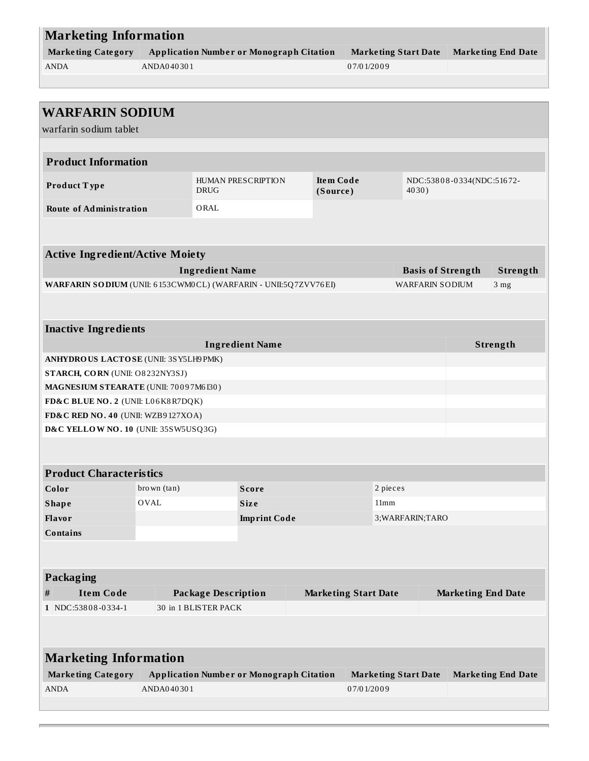| <b>Marketing Information</b> |                                                 |                      |                           |  |  |  |
|------------------------------|-------------------------------------------------|----------------------|---------------------------|--|--|--|
| <b>Marketing Category</b>    | <b>Application Number or Monograph Citation</b> | Marketing Start Date | <b>Marketing End Date</b> |  |  |  |
| <b>ANDA</b>                  | ANDA040301                                      | 07/01/2009           |                           |  |  |  |
|                              |                                                 |                      |                           |  |  |  |
|                              |                                                 |                      |                           |  |  |  |

| <b>WARFARIN SODIUM</b>                                          |             |                                                                            |                                                 |  |                             |          |                             |                           |                           |
|-----------------------------------------------------------------|-------------|----------------------------------------------------------------------------|-------------------------------------------------|--|-----------------------------|----------|-----------------------------|---------------------------|---------------------------|
| warfarin sodium tablet                                          |             |                                                                            |                                                 |  |                             |          |                             |                           |                           |
|                                                                 |             |                                                                            |                                                 |  |                             |          |                             |                           |                           |
| <b>Product Information</b>                                      |             |                                                                            |                                                 |  |                             |          |                             |                           |                           |
| Product Type                                                    |             | <b>Item Code</b><br>HUMAN PRESCRIPTION<br><b>DRUG</b><br>(Source)<br>4030) |                                                 |  | NDC:53808-0334(NDC:51672-   |          |                             |                           |                           |
| <b>Route of Administration</b>                                  |             | ORAL                                                                       |                                                 |  |                             |          |                             |                           |                           |
|                                                                 |             |                                                                            |                                                 |  |                             |          |                             |                           |                           |
| <b>Active Ingredient/Active Moiety</b>                          |             |                                                                            |                                                 |  |                             |          |                             |                           |                           |
|                                                                 |             | <b>Ingredient Name</b>                                                     |                                                 |  |                             |          | <b>Basis of Strength</b>    |                           | Strength                  |
| WARFARIN SODIUM (UNII: 6153CWM0CL) (WARFARIN - UNII:5Q7ZVV76EI) |             |                                                                            |                                                 |  |                             |          | WARFARIN SODIUM             |                           | 3 <sub>mg</sub>           |
|                                                                 |             |                                                                            |                                                 |  |                             |          |                             |                           |                           |
| <b>Inactive Ingredients</b>                                     |             |                                                                            |                                                 |  |                             |          |                             |                           |                           |
|                                                                 |             |                                                                            | <b>Ingredient Name</b>                          |  |                             |          |                             |                           | Strength                  |
| ANHYDROUS LACTOSE (UNII: 3SY5LH9 PMK)                           |             |                                                                            |                                                 |  |                             |          |                             |                           |                           |
| STARCH, CORN (UNII: O8232NY3SJ)                                 |             |                                                                            |                                                 |  |                             |          |                             |                           |                           |
| MAGNESIUM STEARATE (UNII: 70097M6I30)                           |             |                                                                            |                                                 |  |                             |          |                             |                           |                           |
| FD&C BLUE NO. 2 (UNII: L06K8R7DQK)                              |             |                                                                            |                                                 |  |                             |          |                             |                           |                           |
| FD&C RED NO. 40 (UNII: WZB9127XOA)                              |             |                                                                            |                                                 |  |                             |          |                             |                           |                           |
| D&C YELLOW NO. 10 (UNII: 35SW5USQ3G)                            |             |                                                                            |                                                 |  |                             |          |                             |                           |                           |
| <b>Product Characteristics</b>                                  |             |                                                                            |                                                 |  |                             |          |                             |                           |                           |
| Color                                                           | brown (tan) |                                                                            | <b>Score</b>                                    |  |                             | 2 pieces |                             |                           |                           |
| <b>Shape</b>                                                    | OVAL        |                                                                            | <b>Size</b>                                     |  |                             | 11mm     |                             |                           |                           |
| Flavor                                                          |             |                                                                            | <b>Imprint Code</b>                             |  |                             |          | 3; WARFARIN; TARO           |                           |                           |
| <b>Contains</b>                                                 |             |                                                                            |                                                 |  |                             |          |                             |                           |                           |
|                                                                 |             |                                                                            |                                                 |  |                             |          |                             |                           |                           |
| <b>Packaging</b>                                                |             |                                                                            |                                                 |  |                             |          |                             |                           |                           |
| <b>Item Code</b><br>$\#$                                        |             | <b>Package Description</b>                                                 |                                                 |  | <b>Marketing Start Date</b> |          |                             | <b>Marketing End Date</b> |                           |
| 1 NDC:53808-0334-1                                              |             | 30 in 1 BLISTER PACK                                                       |                                                 |  |                             |          |                             |                           |                           |
|                                                                 |             |                                                                            |                                                 |  |                             |          |                             |                           |                           |
| <b>Marketing Information</b>                                    |             |                                                                            |                                                 |  |                             |          |                             |                           |                           |
| <b>Marketing Category</b>                                       |             |                                                                            | <b>Application Number or Monograph Citation</b> |  |                             |          | <b>Marketing Start Date</b> |                           | <b>Marketing End Date</b> |
| <b>ANDA</b>                                                     | ANDA040301  |                                                                            |                                                 |  | 07/01/2009                  |          |                             |                           |                           |
|                                                                 |             |                                                                            |                                                 |  |                             |          |                             |                           |                           |
|                                                                 |             |                                                                            |                                                 |  |                             |          |                             |                           |                           |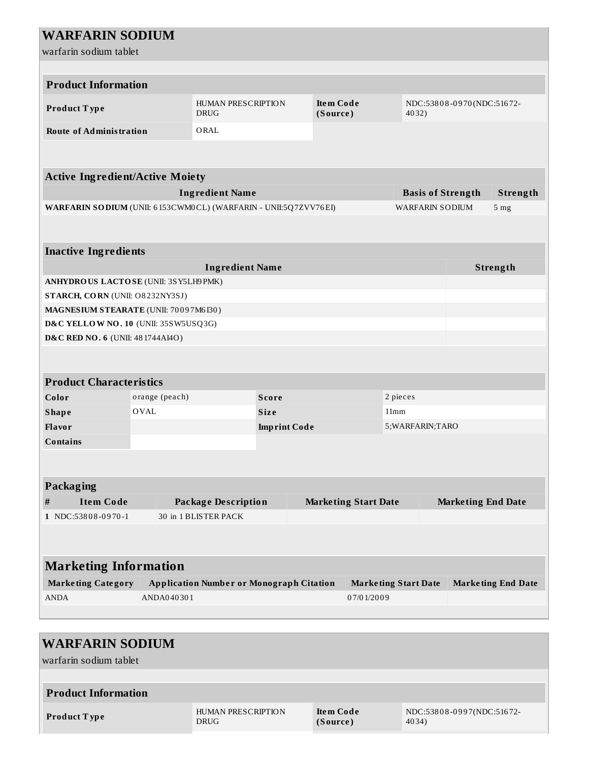# **WARFARIN SODIUM**

| warfarin sodium tablet                                                        |                                                           |                                                 |                     |                              |                             |                   |                        |                           |                           |
|-------------------------------------------------------------------------------|-----------------------------------------------------------|-------------------------------------------------|---------------------|------------------------------|-----------------------------|-------------------|------------------------|---------------------------|---------------------------|
| <b>Product Information</b>                                                    |                                                           |                                                 |                     |                              |                             |                   |                        |                           |                           |
| Product Type                                                                  |                                                           | <b>HUMAN PRESCRIPTION</b><br><b>DRUG</b>        |                     | <b>Item Code</b><br>(Source) |                             | 4032)             |                        | NDC:53808-0970(NDC:51672- |                           |
| <b>Route of Administration</b>                                                |                                                           | ORAL                                            |                     |                              |                             |                   |                        |                           |                           |
|                                                                               |                                                           |                                                 |                     |                              |                             |                   |                        |                           |                           |
| <b>Active Ingredient/Active Moiety</b>                                        |                                                           |                                                 |                     |                              |                             |                   |                        |                           |                           |
|                                                                               |                                                           | <b>Ingredient Name</b>                          |                     |                              |                             |                   |                        | <b>Basis of Strength</b>  | Strength                  |
| WARFARIN SODIUM (UNII: 6153CWM0CL) (WARFARIN - UNII:5Q7ZVV76EI)               |                                                           |                                                 |                     |                              |                             |                   | <b>WARFARIN SODIUM</b> |                           | 5 mg                      |
|                                                                               |                                                           |                                                 |                     |                              |                             |                   |                        |                           |                           |
| <b>Inactive Ingredients</b>                                                   |                                                           |                                                 |                     |                              |                             |                   |                        |                           |                           |
|                                                                               |                                                           | <b>Ingredient Name</b>                          |                     |                              |                             |                   |                        |                           | Strength                  |
| ANHYDROUS LACTOSE (UNII: 3SY5LH9 PMK)                                         |                                                           |                                                 |                     |                              |                             |                   |                        |                           |                           |
| STARCH, CORN (UNII: O8232NY3SJ)                                               |                                                           |                                                 |                     |                              |                             |                   |                        |                           |                           |
| MAGNESIUM STEARATE (UNII: 70097M6I30)<br>D&C YELLOW NO. 10 (UNII: 35SW5USQ3G) |                                                           |                                                 |                     |                              |                             |                   |                        |                           |                           |
| D&C RED NO. 6 (UNII: 481744AI4O)                                              |                                                           |                                                 |                     |                              |                             |                   |                        |                           |                           |
| <b>Product Characteristics</b>                                                |                                                           |                                                 |                     |                              |                             |                   |                        |                           |                           |
| Color                                                                         | orange (peach)                                            |                                                 | <b>Score</b>        |                              |                             | 2 pieces          |                        |                           |                           |
| <b>Shape</b>                                                                  | <b>OVAL</b>                                               |                                                 | <b>Size</b>         |                              |                             | 11mm              |                        |                           |                           |
| Flavor                                                                        |                                                           |                                                 | <b>Imprint Code</b> |                              |                             | 5; WARFARIN; TARO |                        |                           |                           |
| <b>Contains</b>                                                               |                                                           |                                                 |                     |                              |                             |                   |                        |                           |                           |
|                                                                               |                                                           |                                                 |                     |                              |                             |                   |                        |                           |                           |
| <b>Packaging</b>                                                              |                                                           |                                                 |                     |                              |                             |                   |                        |                           |                           |
| <b>Item Code</b><br>$\#$                                                      | <b>Package Description</b><br><b>Marketing Start Date</b> |                                                 |                     | <b>Marketing End Date</b>    |                             |                   |                        |                           |                           |
| 1 NDC:53808-0970-1                                                            |                                                           | 30 in 1 BLISTER PACK                            |                     |                              |                             |                   |                        |                           |                           |
|                                                                               |                                                           |                                                 |                     |                              |                             |                   |                        |                           |                           |
| <b>Marketing Information</b>                                                  |                                                           |                                                 |                     |                              |                             |                   |                        |                           |                           |
| <b>Marketing Category</b>                                                     |                                                           | <b>Application Number or Monograph Citation</b> |                     |                              | <b>Marketing Start Date</b> |                   |                        |                           | <b>Marketing End Date</b> |
| <b>ANDA</b>                                                                   | ANDA040301                                                |                                                 |                     |                              | 07/01/2009                  |                   |                        |                           |                           |
|                                                                               |                                                           |                                                 |                     |                              |                             |                   |                        |                           |                           |
|                                                                               |                                                           |                                                 |                     |                              |                             |                   |                        |                           |                           |
| <b>WARFARIN SODIUM</b>                                                        |                                                           |                                                 |                     |                              |                             |                   |                        |                           |                           |

warfarin sodium tablet

| <b>Product Information</b> |                    |           |                           |
|----------------------------|--------------------|-----------|---------------------------|
| Product Type               | HUMAN PRESCRIPTION | Item Code | NDC:53808-0997(NDC:51672- |
|                            | <b>DRUG</b>        | (Source)  | 4034)                     |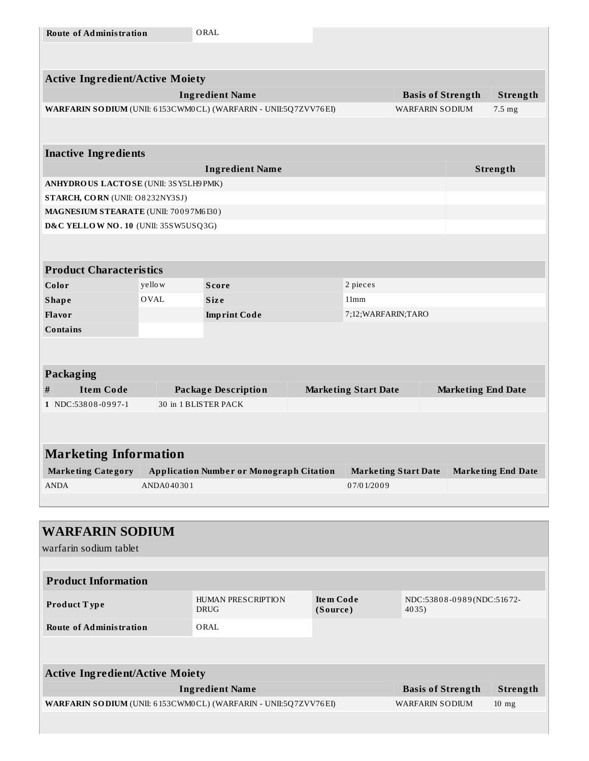|                                                  | <b>Route of Administration</b> | ORAL                                                            |                              |                             |                          |                           |                           |
|--------------------------------------------------|--------------------------------|-----------------------------------------------------------------|------------------------------|-----------------------------|--------------------------|---------------------------|---------------------------|
|                                                  |                                |                                                                 |                              |                             |                          |                           |                           |
| <b>Active Ingredient/Active Moiety</b>           |                                |                                                                 |                              |                             |                          |                           |                           |
|                                                  |                                | <b>Ingredient Name</b>                                          |                              |                             | <b>Basis of Strength</b> |                           | Strength                  |
|                                                  |                                | WARFARIN SODIUM (UNII: 6153CWM0CL) (WARFARIN - UNII:5Q7ZVV76EI) |                              |                             | <b>WARFARIN SODIUM</b>   |                           | 7.5 mg                    |
|                                                  |                                |                                                                 |                              |                             |                          |                           |                           |
|                                                  |                                |                                                                 |                              |                             |                          |                           |                           |
| <b>Inactive Ingredients</b>                      |                                |                                                                 |                              |                             |                          |                           |                           |
|                                                  |                                | <b>Ingredient Name</b>                                          |                              |                             |                          |                           | Strength                  |
| ANHYDROUS LACTOSE (UNII: 3SY5LH9PMK)             |                                |                                                                 |                              |                             |                          |                           |                           |
| STARCH, CORN (UNII: O8232NY3SJ)                  |                                |                                                                 |                              |                             |                          |                           |                           |
| MAGNESIUM STEARATE (UNII: 70097M6I30)            |                                |                                                                 |                              |                             |                          |                           |                           |
| D&C YELLOW NO. 10 (UNII: 35SW5USQ3G)             |                                |                                                                 |                              |                             |                          |                           |                           |
|                                                  |                                |                                                                 |                              |                             |                          |                           |                           |
|                                                  |                                |                                                                 |                              |                             |                          |                           |                           |
| <b>Product Characteristics</b>                   |                                |                                                                 |                              |                             |                          |                           |                           |
| Color                                            | yello w                        | <b>Score</b>                                                    |                              | 2 pieces                    |                          |                           |                           |
| <b>Shape</b>                                     | <b>OVAL</b>                    | <b>Size</b>                                                     |                              | 11mm                        |                          |                           |                           |
| Flavor                                           |                                | <b>Imprint Code</b>                                             |                              | 7;12; WARFARIN; TARO        |                          |                           |                           |
| <b>Contains</b>                                  |                                |                                                                 |                              |                             |                          |                           |                           |
|                                                  |                                |                                                                 |                              |                             |                          |                           |                           |
| <b>Packaging</b>                                 |                                |                                                                 |                              |                             |                          |                           |                           |
| <b>Item Code</b><br>#                            |                                | <b>Package Description</b>                                      |                              | <b>Marketing Start Date</b> |                          | <b>Marketing End Date</b> |                           |
| 1 NDC:53808-0997-1                               |                                | 30 in 1 BLISTER PACK                                            |                              |                             |                          |                           |                           |
|                                                  |                                |                                                                 |                              |                             |                          |                           |                           |
|                                                  |                                |                                                                 |                              |                             |                          |                           |                           |
|                                                  |                                |                                                                 |                              |                             |                          |                           |                           |
| <b>Marketing Information</b>                     |                                |                                                                 |                              |                             |                          |                           |                           |
| <b>Marketing Category</b>                        |                                | <b>Application Number or Monograph Citation</b>                 |                              | <b>Marketing Start Date</b> |                          |                           | <b>Marketing End Date</b> |
| <b>ANDA</b>                                      | ANDA040301                     |                                                                 |                              | 07/01/2009                  |                          |                           |                           |
|                                                  |                                |                                                                 |                              |                             |                          |                           |                           |
|                                                  |                                |                                                                 |                              |                             |                          |                           |                           |
|                                                  |                                |                                                                 |                              |                             |                          |                           |                           |
|                                                  |                                |                                                                 |                              |                             |                          |                           |                           |
| <b>WARFARIN SODIUM</b><br>warfarin sodium tablet |                                |                                                                 |                              |                             |                          |                           |                           |
|                                                  |                                |                                                                 |                              |                             |                          |                           |                           |
| <b>Product Information</b>                       |                                |                                                                 |                              |                             |                          |                           |                           |
| Product Type                                     |                                | HUMAN PRESCRIPTION<br><b>DRUG</b>                               | <b>Item Code</b><br>(Source) |                             | 4035)                    | NDC:53808-0989(NDC:51672- |                           |
| <b>Route of Administration</b>                   |                                | ORAL                                                            |                              |                             |                          |                           |                           |
|                                                  |                                |                                                                 |                              |                             |                          |                           |                           |
|                                                  |                                |                                                                 |                              |                             |                          |                           |                           |
| <b>Active Ingredient/Active Moiety</b>           |                                |                                                                 |                              |                             |                          |                           |                           |
|                                                  |                                | <b>Ingredient Name</b>                                          |                              |                             | <b>Basis of Strength</b> |                           | Strength                  |
|                                                  |                                | WARFARIN SODIUM (UNII: 6153CWM0CL) (WARFARIN - UNII:5Q7ZVV76EI) |                              |                             | <b>WARFARIN SODIUM</b>   |                           | $10$ mg                   |